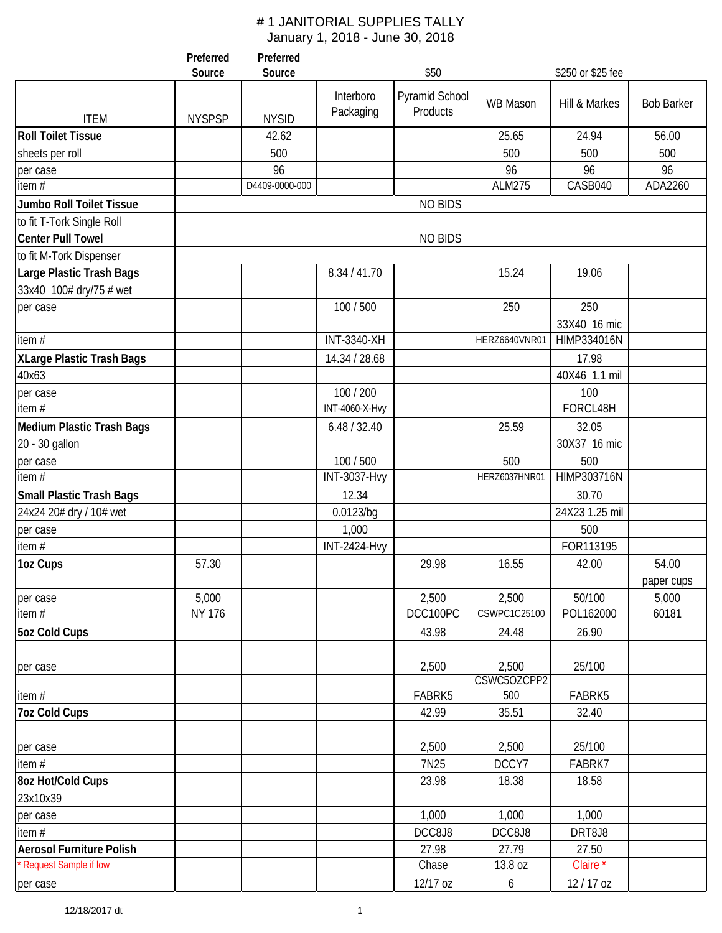|                                  | Preferred<br>Source | Preferred<br>Source |                        | \$50                       |                 | \$250 or \$25 fee |                   |
|----------------------------------|---------------------|---------------------|------------------------|----------------------------|-----------------|-------------------|-------------------|
|                                  |                     |                     |                        |                            |                 |                   |                   |
| <b>ITEM</b>                      | <b>NYSPSP</b>       | <b>NYSID</b>        | Interboro<br>Packaging | Pyramid School<br>Products | <b>WB Mason</b> | Hill & Markes     | <b>Bob Barker</b> |
| <b>Roll Toilet Tissue</b>        |                     | 42.62               |                        |                            | 25.65           | 24.94             | 56.00             |
| sheets per roll                  |                     | 500                 |                        |                            | 500             | 500               | 500               |
| per case                         |                     | 96                  |                        |                            | 96              | 96                | 96                |
| item $#$                         |                     | D4409-0000-000      |                        |                            | <b>ALM275</b>   | CASB040           | ADA2260           |
| Jumbo Roll Toilet Tissue         |                     |                     |                        | <b>NO BIDS</b>             |                 |                   |                   |
| to fit T-Tork Single Roll        |                     |                     |                        |                            |                 |                   |                   |
| <b>Center Pull Towel</b>         |                     |                     |                        | <b>NO BIDS</b>             |                 |                   |                   |
| to fit M-Tork Dispenser          |                     |                     |                        |                            |                 |                   |                   |
| Large Plastic Trash Bags         |                     |                     | 8.34 / 41.70           |                            | 15.24           | 19.06             |                   |
| 33x40 100# dry/75 # wet          |                     |                     |                        |                            |                 |                   |                   |
| per case                         |                     |                     | 100 / 500              |                            | 250             | 250               |                   |
|                                  |                     |                     |                        |                            |                 | 33X40 16 mic      |                   |
| item#                            |                     |                     | <b>INT-3340-XH</b>     |                            | HERZ6640VNR01   | HIMP334016N       |                   |
| <b>XLarge Plastic Trash Bags</b> |                     |                     | 14.34 / 28.68          |                            |                 | 17.98             |                   |
| 40x63                            |                     |                     |                        |                            |                 | 40X46 1.1 mil     |                   |
| per case                         |                     |                     | 100 / 200              |                            |                 | 100               |                   |
| item $#$                         |                     |                     | <b>INT-4060-X-Hvy</b>  |                            |                 | FORCL48H          |                   |
| <b>Medium Plastic Trash Bags</b> |                     |                     | 6.48 / 32.40           |                            | 25.59           | 32.05             |                   |
| 20 - 30 gallon                   |                     |                     |                        |                            |                 | 30X37 16 mic      |                   |
| per case                         |                     |                     | 100 / 500              |                            | 500             | 500               |                   |
| item $#$                         |                     |                     | <b>INT-3037-Hvy</b>    |                            | HERZ6037HNR01   | HIMP303716N       |                   |
| <b>Small Plastic Trash Bags</b>  |                     |                     | 12.34                  |                            |                 | 30.70             |                   |
| 24x24 20# dry / 10# wet          |                     |                     | 0.0123/bq              |                            |                 | 24X23 1.25 mil    |                   |
| per case                         |                     |                     | 1,000                  |                            |                 | 500               |                   |
| item $#$                         |                     |                     | <b>INT-2424-Hvy</b>    |                            |                 | FOR113195         |                   |
| 1oz Cups                         | 57.30               |                     |                        | 29.98                      | 16.55           | 42.00             | 54.00             |
|                                  |                     |                     |                        |                            |                 |                   | paper cups        |
| per case                         | 5,000               |                     |                        | 2,500                      | 2,500           | 50/100            | 5,000             |
| item#                            | <b>NY 176</b>       |                     |                        | DCC100PC                   | CSWPC1C25100    | POL162000         | 60181             |
| <b>5oz Cold Cups</b>             |                     |                     |                        | 43.98                      | 24.48           | 26.90             |                   |
| per case                         |                     |                     |                        | 2,500                      | 2,500           | 25/100            |                   |
|                                  |                     |                     |                        | FABRK5                     | CSWC5OZCPP2     | FABRK5            |                   |
| item#<br><b>7oz Cold Cups</b>    |                     |                     |                        | 42.99                      | 500<br>35.51    | 32.40             |                   |
|                                  |                     |                     |                        |                            |                 |                   |                   |
| per case                         |                     |                     |                        | 2,500                      | 2,500           | 25/100            |                   |
| item $#$                         |                     |                     |                        | 7N25                       | DCCY7           | FABRK7            |                   |
| 8oz Hot/Cold Cups                |                     |                     |                        | 23.98                      | 18.38           | 18.58             |                   |
| 23x10x39                         |                     |                     |                        |                            |                 |                   |                   |
| per case                         |                     |                     |                        | 1,000                      | 1,000           | 1,000             |                   |
| item#                            |                     |                     |                        | DCC8J8                     | DCC8J8          | DRT8J8            |                   |
| <b>Aerosol Furniture Polish</b>  |                     |                     |                        | 27.98                      | 27.79           | 27.50             |                   |
| Request Sample if low            |                     |                     |                        | Chase                      | 13.8 oz         | Claire*           |                   |
| per case                         |                     |                     |                        | 12/17 oz                   | 6               | 12/17 oz          |                   |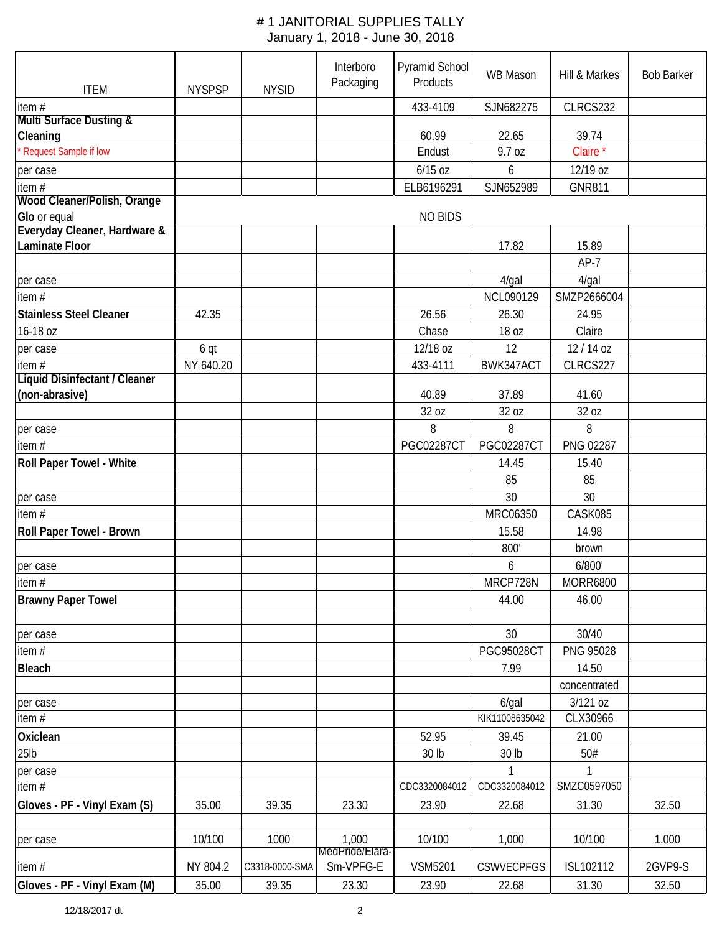| <b>ITEM</b>                          | <b>NYSPSP</b> | <b>NYSID</b>   | Interboro<br>Packaging       | Pyramid School<br>Products | <b>WB Mason</b>   | Hill & Markes       | <b>Bob Barker</b> |  |  |
|--------------------------------------|---------------|----------------|------------------------------|----------------------------|-------------------|---------------------|-------------------|--|--|
| item#                                |               |                |                              | 433-4109                   | SJN682275         | CLRCS232            |                   |  |  |
| <b>Multi Surface Dusting &amp;</b>   |               |                |                              |                            |                   |                     |                   |  |  |
| Cleaning                             |               |                |                              | 60.99                      | 22.65             | 39.74               |                   |  |  |
| Request Sample if low                |               |                |                              | Endust                     | 9.7 oz            | Claire <sup>*</sup> |                   |  |  |
| per case                             |               |                |                              | $6/15$ oz                  | 6                 | 12/19 oz            |                   |  |  |
| item#                                |               |                |                              | ELB6196291                 | SJN652989         | <b>GNR811</b>       |                   |  |  |
| Wood Cleaner/Polish, Orange          |               |                |                              |                            |                   |                     |                   |  |  |
| Glo or equal                         |               |                |                              | <b>NO BIDS</b>             |                   |                     |                   |  |  |
| Everyday Cleaner, Hardware &         |               |                |                              |                            |                   |                     |                   |  |  |
| Laminate Floor                       |               |                |                              |                            | 17.82             | 15.89               |                   |  |  |
|                                      |               |                |                              |                            |                   | $AP-7$              |                   |  |  |
| per case                             |               |                |                              |                            | $4$ /gal          | $4$ /gal            |                   |  |  |
| item #                               |               |                |                              |                            | NCL090129         | SMZP2666004         |                   |  |  |
| <b>Stainless Steel Cleaner</b>       | 42.35         |                |                              | 26.56                      | 26.30             | 24.95               |                   |  |  |
| 16-18 oz                             |               |                |                              | Chase                      | 18 oz             | Claire              |                   |  |  |
| per case                             | 6 qt          |                |                              | 12/18 oz                   | 12                | 12/14 oz            |                   |  |  |
| item $#$                             | NY 640.20     |                |                              | 433-4111                   | BWK347ACT         | CLRCS227            |                   |  |  |
| <b>Liquid Disinfectant / Cleaner</b> |               |                |                              |                            |                   |                     |                   |  |  |
| (non-abrasive)                       |               |                |                              | 40.89                      | 37.89             | 41.60               |                   |  |  |
|                                      |               |                |                              | 32 oz                      | 32 oz             | 32 oz               |                   |  |  |
| per case                             |               |                |                              | 8                          | 8                 | 8                   |                   |  |  |
| item#                                |               |                |                              | <b>PGC02287CT</b>          | <b>PGC02287CT</b> | PNG 02287           |                   |  |  |
| Roll Paper Towel - White             |               |                |                              |                            | 14.45             | 15.40               |                   |  |  |
|                                      |               |                |                              |                            | 85                | 85                  |                   |  |  |
| per case                             |               |                |                              |                            | 30                | 30                  |                   |  |  |
| item#                                |               |                |                              |                            | MRC06350          | CASK085             |                   |  |  |
| Roll Paper Towel - Brown             |               |                |                              |                            | 15.58             | 14.98               |                   |  |  |
|                                      |               |                |                              |                            | 800'              | brown               |                   |  |  |
| per case                             |               |                |                              |                            | 6                 | 6/800'              |                   |  |  |
| item $#$                             |               |                |                              |                            | MRCP728N          | <b>MORR6800</b>     |                   |  |  |
| <b>Brawny Paper Towel</b>            |               |                |                              |                            | 44.00             | 46.00               |                   |  |  |
|                                      |               |                |                              |                            |                   |                     |                   |  |  |
| per case                             |               |                |                              |                            | 30                | 30/40               |                   |  |  |
|                                      |               |                |                              |                            | PGC95028CT        | <b>PNG 95028</b>    |                   |  |  |
| item#                                |               |                |                              |                            |                   |                     |                   |  |  |
| <b>Bleach</b>                        |               |                |                              |                            | 7.99              | 14.50               |                   |  |  |
|                                      |               |                |                              |                            |                   | concentrated        |                   |  |  |
| per case                             |               |                |                              |                            | $6$ /gal          | 3/121 oz            |                   |  |  |
| item#                                |               |                |                              |                            | KIK11008635042    | CLX30966            |                   |  |  |
| Oxiclean                             |               |                |                              | 52.95                      | 39.45             | 21.00               |                   |  |  |
| $25$ lb                              |               |                |                              | 30 lb                      | 30 lb             | 50#                 |                   |  |  |
| per case                             |               |                |                              |                            | 1                 |                     |                   |  |  |
| item#                                |               |                |                              | CDC3320084012              | CDC3320084012     | SMZC0597050         |                   |  |  |
| Gloves - PF - Vinyl Exam (S)         | 35.00         | 39.35          | 23.30                        | 23.90                      | 22.68             | 31.30               | 32.50             |  |  |
|                                      |               |                |                              |                            |                   |                     |                   |  |  |
| per case                             | 10/100        | 1000           | 1,000                        | 10/100                     | 1,000             | 10/100              | 1,000             |  |  |
|                                      |               |                | MedPride/Llara-<br>Sm-VPFG-E |                            |                   |                     |                   |  |  |
| item $#$                             | NY 804.2      | C3318-0000-SMA |                              | <b>VSM5201</b>             | <b>CSWVECPFGS</b> | ISL102112           | 2GVP9-S           |  |  |
| Gloves - PF - Vinyl Exam (M)         | 35.00         | 39.35          | 23.30                        | 23.90                      | 22.68             | 31.30               | 32.50             |  |  |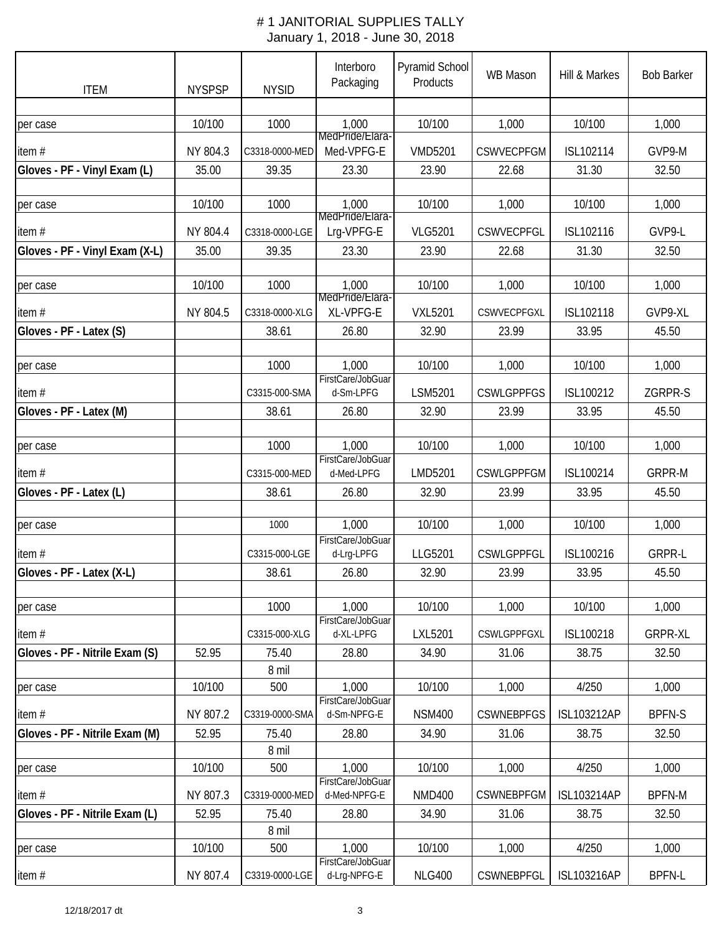| <b>ITEM</b>                    | <b>NYSPSP</b> | <b>NYSID</b>   | Interboro<br>Packaging            | Pyramid School<br>Products | <b>WB Mason</b>   | Hill & Markes      | <b>Bob Barker</b> |
|--------------------------------|---------------|----------------|-----------------------------------|----------------------------|-------------------|--------------------|-------------------|
|                                |               |                |                                   |                            |                   |                    |                   |
| per case                       | 10/100        | 1000           | 1,000                             | 10/100                     | 1,000             | 10/100             | 1,000             |
| item#                          | NY 804.3      | C3318-0000-MED | MedPride/Llara-<br>Med-VPFG-E     | <b>VMD5201</b>             | <b>CSWVECPFGM</b> | ISL102114          | GVP9-M            |
| Gloves - PF - Vinyl Exam (L)   | 35.00         | 39.35          | 23.30                             | 23.90                      | 22.68             | 31.30              | 32.50             |
|                                |               |                |                                   |                            |                   |                    |                   |
| per case                       | 10/100        | 1000           | 1,000<br>MedPride/Elara-          | 10/100                     | 1,000             | 10/100             | 1,000             |
| item#                          | NY 804.4      | C3318-0000-LGE | Lrg-VPFG-E                        | <b>VLG5201</b>             | CSWVECPFGL        | ISL102116          | GVP9-L            |
| Gloves - PF - Vinyl Exam (X-L) | 35.00         | 39.35          | 23.30                             | 23.90                      | 22.68             | 31.30              | 32.50             |
|                                |               |                |                                   |                            |                   |                    |                   |
| per case                       | 10/100        | 1000           | 1,000<br>MedPride/Elara-          | 10/100                     | 1,000             | 10/100             | 1,000             |
| item#                          | NY 804.5      | C3318-0000-XLG | XL-VPFG-E                         | <b>VXL5201</b>             | CSWVECPFGXL       | ISL102118          | GVP9-XL           |
| Gloves - PF - Latex (S)        |               | 38.61          | 26.80                             | 32.90                      | 23.99             | 33.95              | 45.50             |
|                                |               |                |                                   |                            |                   |                    |                   |
| per case                       |               | 1000           | 1,000<br>FirstCare/JobGuar        | 10/100                     | 1,000             | 10/100             | 1,000             |
| item#                          |               | C3315-000-SMA  | d-Sm-LPFG                         | LSM5201                    | <b>CSWLGPPFGS</b> | ISL100212          | ZGRPR-S           |
| Gloves - PF - Latex (M)        |               | 38.61          | 26.80                             | 32.90                      | 23.99             | 33.95              | 45.50             |
|                                |               |                |                                   |                            |                   |                    |                   |
| per case                       |               | 1000           | 1,000<br>FirstCare/JobGuar        | 10/100                     | 1,000             | 10/100             | 1,000             |
| item#                          |               | C3315-000-MED  | d-Med-LPFG                        | LMD5201                    | <b>CSWLGPPFGM</b> | ISL100214          | <b>GRPR-M</b>     |
| Gloves - PF - Latex (L)        |               | 38.61          | 26.80                             | 32.90                      | 23.99             | 33.95              | 45.50             |
|                                |               |                |                                   |                            |                   |                    |                   |
| per case                       |               | 1000           | 1,000                             | 10/100                     | 1,000             | 10/100             | 1,000             |
| item#                          |               | C3315-000-LGE  | FirstCare/JobGuar<br>d-Lrg-LPFG   | LLG5201                    | <b>CSWLGPPFGL</b> | ISL100216          | <b>GRPR-L</b>     |
| Gloves - PF - Latex (X-L)      |               | 38.61          | 26.80                             | 32.90                      | 23.99             | 33.95              | 45.50             |
|                                |               |                |                                   |                            |                   |                    |                   |
| per case                       |               | 1000           | 1,000                             | 10/100                     | 1,000             | 10/100             | 1,000             |
| item $#$                       |               | C3315-000-XLG  | FirstCare/JobGuar<br>d-XL-LPFG    | LXL5201                    | CSWLGPPFGXL       | ISL100218          | <b>GRPR-XL</b>    |
| Gloves - PF - Nitrile Exam (S) | 52.95         | 75.40          | 28.80                             | 34.90                      | 31.06             | 38.75              | 32.50             |
|                                |               | 8 mil          |                                   |                            |                   |                    |                   |
| per case                       | 10/100        | 500            | 1,000                             | 10/100                     | 1,000             | 4/250              | 1,000             |
| item#                          | NY 807.2      | C3319-0000-SMA | FirstCare/JobGuar<br>d-Sm-NPFG-E  | <b>NSM400</b>              | <b>CSWNEBPFGS</b> | <b>ISL103212AP</b> | <b>BPFN-S</b>     |
| Gloves - PF - Nitrile Exam (M) | 52.95         | 75.40          | 28.80                             | 34.90                      | 31.06             | 38.75              | 32.50             |
|                                |               | 8 mil          |                                   |                            |                   |                    |                   |
| per case                       | 10/100        | 500            | 1,000                             | 10/100                     | 1,000             | 4/250              | 1,000             |
| item#                          | NY 807.3      | C3319-0000-MED | FirstCare/JobGuar<br>d-Med-NPFG-E | <b>NMD400</b>              | <b>CSWNEBPFGM</b> | <b>ISL103214AP</b> | <b>BPFN-M</b>     |
| Gloves - PF - Nitrile Exam (L) | 52.95         | 75.40          | 28.80                             | 34.90                      | 31.06             | 38.75              | 32.50             |
|                                |               | 8 mil          |                                   |                            |                   |                    |                   |
| per case                       | 10/100        | 500            | 1,000                             | 10/100                     | 1,000             | 4/250              | 1,000             |
| item $#$                       | NY 807.4      | C3319-0000-LGE | FirstCare/JobGuar<br>d-Lrg-NPFG-E | <b>NLG400</b>              | CSWNEBPFGL        | <b>ISL103216AP</b> | <b>BPFN-L</b>     |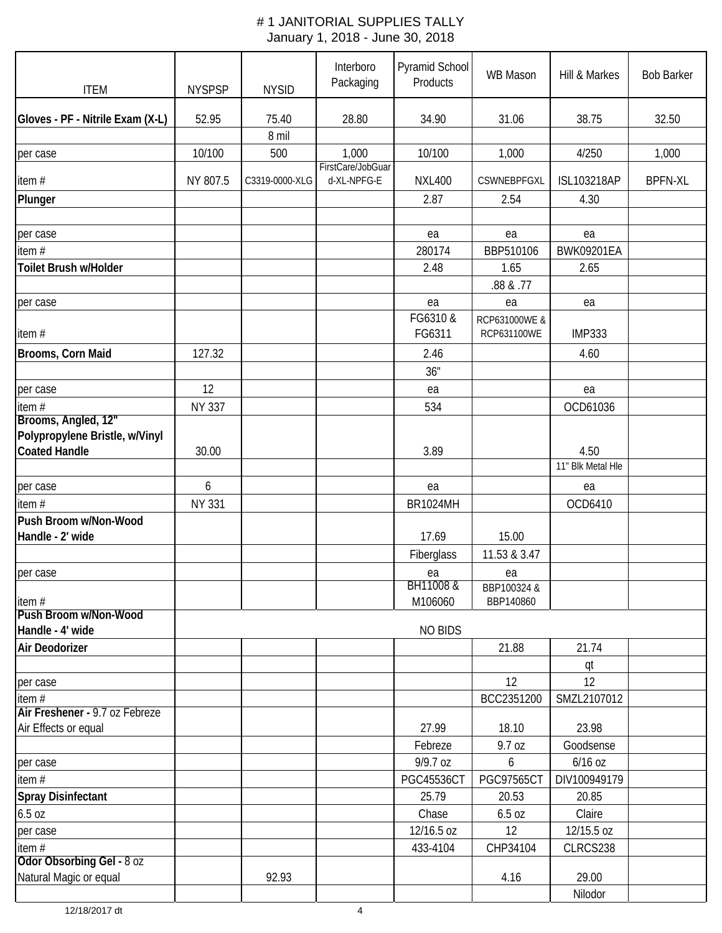| <b>ITEM</b>                                         | <b>NYSPSP</b> | <b>NYSID</b>   | Interboro<br>Packaging | Pyramid School<br>Products | <b>WB Mason</b>                | Hill & Markes             | <b>Bob Barker</b> |
|-----------------------------------------------------|---------------|----------------|------------------------|----------------------------|--------------------------------|---------------------------|-------------------|
| Gloves - PF - Nitrile Exam (X-L)                    | 52.95         | 75.40          | 28.80                  | 34.90                      | 31.06                          | 38.75                     | 32.50             |
|                                                     |               | 8 mil          |                        |                            |                                |                           |                   |
| per case                                            | 10/100        | 500            | 1,000                  | 10/100                     | 1,000                          | 4/250                     | 1,000             |
|                                                     |               |                | FirstCare/JobGuar      |                            |                                |                           |                   |
| item #                                              | NY 807.5      | C3319-0000-XLG | d-XL-NPFG-E            | <b>NXL400</b>              | CSWNEBPFGXL                    | <b>ISL103218AP</b>        | <b>BPFN-XL</b>    |
| Plunger                                             |               |                |                        | 2.87                       | 2.54                           | 4.30                      |                   |
| per case                                            |               |                |                        | ea                         | ea                             | ea                        |                   |
| item #                                              |               |                |                        | 280174                     | BBP510106                      | <b>BWK09201EA</b>         |                   |
| Toilet Brush w/Holder                               |               |                |                        | 2.48                       | 1.65<br>.88 & .77              | 2.65                      |                   |
| per case                                            |               |                |                        | ea                         | ea                             | ea                        |                   |
| item#                                               |               |                |                        | FG6310 &<br>FG6311         | RCP631000WE &<br>RCP631100WE   | <b>IMP333</b>             |                   |
| Brooms, Corn Maid                                   | 127.32        |                |                        | 2.46<br>36"                |                                | 4.60                      |                   |
| per case                                            | 12            |                |                        | ea                         |                                | ea                        |                   |
| item#                                               | <b>NY 337</b> |                |                        | 534                        |                                | OCD61036                  |                   |
| Brooms, Angled, 12"                                 |               |                |                        |                            |                                |                           |                   |
| Polypropylene Bristle, w/Vinyl                      |               |                |                        |                            |                                |                           |                   |
| <b>Coated Handle</b>                                | 30.00         |                |                        | 3.89                       |                                | 4.50<br>11" Blk Metal Hle |                   |
|                                                     |               |                |                        |                            |                                |                           |                   |
| per case                                            | 6             |                |                        | ea                         |                                | ea                        |                   |
| item#                                               | <b>NY 331</b> |                |                        | <b>BR1024MH</b>            |                                | OCD6410                   |                   |
| Push Broom w/Non-Wood<br>Handle - 2' wide           |               |                |                        | 17.69                      | 15.00                          |                           |                   |
|                                                     |               |                |                        | Fiberglass                 | 11.53 & 3.47                   |                           |                   |
|                                                     |               |                |                        |                            |                                |                           |                   |
| per case<br>item #                                  |               |                |                        | ea<br>BH11008 &<br>M106060 | ea<br>BBP100324 &<br>BBP140860 |                           |                   |
| Push Broom w/Non-Wood                               |               |                |                        |                            |                                |                           |                   |
| Handle - 4' wide                                    |               |                |                        | <b>NO BIDS</b>             |                                |                           |                   |
| Air Deodorizer                                      |               |                |                        |                            | 21.88                          | 21.74                     |                   |
|                                                     |               |                |                        |                            |                                | qt                        |                   |
| per case                                            |               |                |                        |                            | 12                             | 12                        |                   |
| item $#$<br>Air Freshener - 9.7 oz Febreze          |               |                |                        |                            | BCC2351200                     | SMZL2107012               |                   |
| Air Effects or equal                                |               |                |                        | 27.99                      | 18.10                          | 23.98                     |                   |
|                                                     |               |                |                        | Febreze                    | 9.7 oz                         | Goodsense                 |                   |
| per case                                            |               |                |                        | 9/9.7 oz                   | 6                              | 6/16 oz                   |                   |
| item #                                              |               |                |                        | <b>PGC45536CT</b>          | <b>PGC97565CT</b>              | DIV100949179              |                   |
| <b>Spray Disinfectant</b>                           |               |                |                        | 25.79                      | 20.53                          | 20.85                     |                   |
| 6.5 oz                                              |               |                |                        | Chase                      | 6.5 oz                         | Claire                    |                   |
| per case                                            |               |                |                        | 12/16.5 oz                 | 12                             | 12/15.5 oz                |                   |
| item $#$                                            |               |                |                        | 433-4104                   | CHP34104                       | CLRCS238                  |                   |
| Odor Obsorbing Gel - 8 oz<br>Natural Magic or equal |               | 92.93          |                        |                            | 4.16                           | 29.00                     |                   |
|                                                     |               |                |                        |                            |                                | Nilodor                   |                   |
|                                                     |               |                |                        |                            |                                |                           |                   |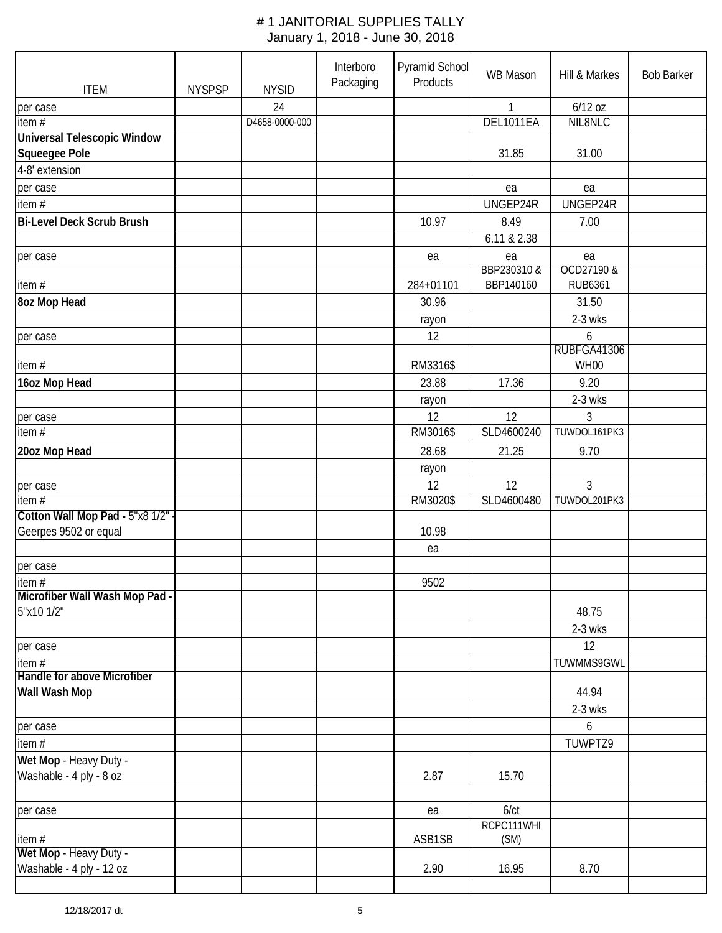| <b>ITEM</b>                                              | <b>NYSPSP</b> | <b>NYSID</b>         | Interboro<br>Packaging | Pyramid School<br>Products | WB Mason                  | Hill & Markes         | <b>Bob Barker</b> |
|----------------------------------------------------------|---------------|----------------------|------------------------|----------------------------|---------------------------|-----------------------|-------------------|
| per case<br>item $#$                                     |               | 24<br>D4658-0000-000 |                        |                            | $\mathbf{1}$<br>DEL1011EA | $6/12$ oz<br>NIL8NLC  |                   |
| <b>Universal Telescopic Window</b><br>Squeegee Pole      |               |                      |                        |                            | 31.85                     | 31.00                 |                   |
| 4-8' extension                                           |               |                      |                        |                            |                           |                       |                   |
| per case                                                 |               |                      |                        |                            | ea                        | ea                    |                   |
| item $#$                                                 |               |                      |                        |                            | UNGEP24R                  | UNGEP24R              |                   |
| <b>Bi-Level Deck Scrub Brush</b>                         |               |                      |                        | 10.97                      | 8.49                      | 7.00                  |                   |
|                                                          |               |                      |                        |                            | 6.11 & 2.38               |                       |                   |
| per case                                                 |               |                      |                        | ea                         | ea                        | ea                    |                   |
| item#                                                    |               |                      |                        | 284+01101                  | BBP230310 &<br>BBP140160  | OCD27190 &<br>RUB6361 |                   |
| 8oz Mop Head                                             |               |                      |                        | 30.96                      |                           | 31.50                 |                   |
|                                                          |               |                      |                        | rayon                      |                           | 2-3 wks               |                   |
| per case                                                 |               |                      |                        | 12                         |                           | 6<br>RUBFGA41306      |                   |
| item#                                                    |               |                      |                        | RM3316\$                   |                           | WH00                  |                   |
| 16oz Mop Head                                            |               |                      |                        | 23.88                      | 17.36                     | 9.20                  |                   |
|                                                          |               |                      |                        | rayon                      |                           | 2-3 wks               |                   |
| per case<br>item $#$                                     |               |                      |                        | 12<br>RM3016\$             | 12<br>SLD4600240          | 3<br>TUWDOL161PK3     |                   |
|                                                          |               |                      |                        |                            |                           |                       |                   |
| 20oz Mop Head                                            |               |                      |                        | 28.68<br>rayon             | 21.25                     | 9.70                  |                   |
| per case                                                 |               |                      |                        | 12                         | 12                        | 3                     |                   |
| item #                                                   |               |                      |                        | RM3020\$                   | SLD4600480                | TUWDOL201PK3          |                   |
| Cotton Wall Mop Pad - 5"x8 1/2"<br>Geerpes 9502 or equal |               |                      |                        | 10.98                      |                           |                       |                   |
|                                                          |               |                      |                        | ea                         |                           |                       |                   |
| per case                                                 |               |                      |                        |                            |                           |                       |                   |
| item #<br>Microfiber Wall Wash Mop Pad -<br>5"x10 1/2"   |               |                      |                        | 9502                       |                           | 48.75                 |                   |
|                                                          |               |                      |                        |                            |                           | $2-3$ wks             |                   |
| per case                                                 |               |                      |                        |                            |                           | 12                    |                   |
| item $#$                                                 |               |                      |                        |                            |                           | TUWMMS9GWL            |                   |
| Handle for above Microfiber<br>Wall Wash Mop             |               |                      |                        |                            |                           | 44.94                 |                   |
|                                                          |               |                      |                        |                            |                           | $2-3$ wks             |                   |
| per case                                                 |               |                      |                        |                            |                           | 6                     |                   |
| item $#$                                                 |               |                      |                        |                            |                           | TUWPTZ9               |                   |
| Wet Mop - Heavy Duty -<br>Washable - 4 ply - 8 oz        |               |                      |                        | 2.87                       | 15.70                     |                       |                   |
|                                                          |               |                      |                        |                            |                           |                       |                   |
| per case                                                 |               |                      |                        | ea                         | $6$ / $ct$<br>RCPC111WHI  |                       |                   |
| item #                                                   |               |                      |                        | ASB1SB                     | (SM)                      |                       |                   |
| Wet Mop - Heavy Duty -<br>Washable - 4 ply - 12 oz       |               |                      |                        | 2.90                       | 16.95                     | 8.70                  |                   |
|                                                          |               |                      |                        |                            |                           |                       |                   |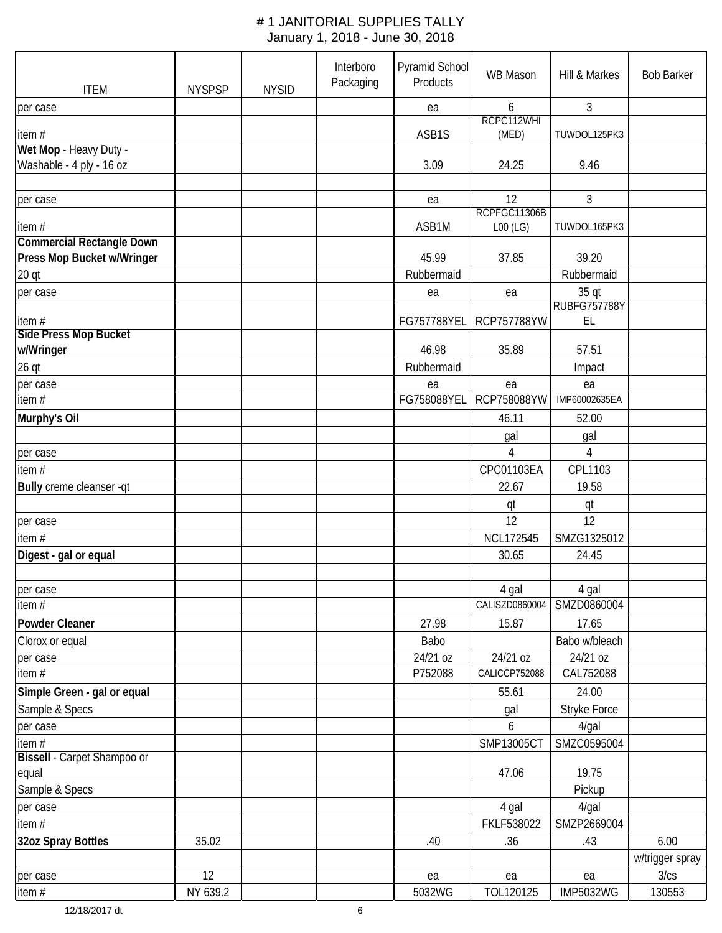| <b>ITEM</b>                           | <b>NYSPSP</b> | <b>NYSID</b> | Interboro<br>Packaging | Pyramid School<br>Products | <b>WB Mason</b>     | Hill & Markes                | <b>Bob Barker</b>       |
|---------------------------------------|---------------|--------------|------------------------|----------------------------|---------------------|------------------------------|-------------------------|
| per case                              |               |              |                        | ea                         | 6                   | 3                            |                         |
| item#                                 |               |              |                        | ASB1S                      | RCPC112WHI<br>(MED) | TUWDOL125PK3                 |                         |
| Wet Mop - Heavy Duty -                |               |              |                        |                            |                     |                              |                         |
| Washable - 4 ply - 16 oz              |               |              |                        | 3.09                       | 24.25               | 9.46                         |                         |
|                                       |               |              |                        |                            |                     |                              |                         |
| per case                              |               |              |                        | ea                         | 12                  | 3                            |                         |
|                                       |               |              |                        |                            | RCPFGC11306B        |                              |                         |
| item#                                 |               |              |                        | ASB1M                      | $LOO$ (LG)          | TUWDOL165PK3                 |                         |
| <b>Commercial Rectangle Down</b>      |               |              |                        | 45.99                      | 37.85               |                              |                         |
| Press Mop Bucket w/Wringer            |               |              |                        |                            |                     | 39.20                        |                         |
| 20 qt                                 |               |              |                        | Rubbermaid                 |                     | Rubbermaid                   |                         |
| per case                              |               |              |                        | ea                         | ea                  | 35 qt<br><b>RUBFG757788Y</b> |                         |
| item#                                 |               |              |                        | FG757788YEL                | <b>RCP757788YW</b>  | EL                           |                         |
| Side Press Mop Bucket                 |               |              |                        |                            |                     |                              |                         |
| w/Wringer                             |               |              |                        | 46.98                      | 35.89               | 57.51                        |                         |
| $26$ qt                               |               |              |                        | Rubbermaid                 |                     | Impact                       |                         |
| per case                              |               |              |                        | ea                         | ea                  | ea                           |                         |
| $\overline{\text{item}}$ #            |               |              |                        | FG758088YEL                | RCP758088YW         | IMP60002635EA                |                         |
| Murphy's Oil                          |               |              |                        |                            | 46.11               | 52.00                        |                         |
|                                       |               |              |                        |                            |                     | gal                          |                         |
|                                       |               |              |                        |                            | gal<br>4            | 4                            |                         |
| per case                              |               |              |                        |                            |                     |                              |                         |
| item#                                 |               |              |                        |                            | CPC01103EA          | CPL1103                      |                         |
| Bully creme cleanser -qt              |               |              |                        |                            | 22.67               | 19.58                        |                         |
|                                       |               |              |                        |                            | qt<br>12            | qt<br>12                     |                         |
| per case                              |               |              |                        |                            |                     |                              |                         |
| item #                                |               |              |                        |                            | <b>NCL172545</b>    | SMZG1325012                  |                         |
| Digest - gal or equal                 |               |              |                        |                            | 30.65               | 24.45                        |                         |
|                                       |               |              |                        |                            | 4 gal               | 4 gal                        |                         |
| per case<br>item #                    |               |              |                        |                            | CALISZD0860004      | SMZD0860004                  |                         |
| Powder Cleaner                        |               |              |                        | 27.98                      | 15.87               | 17.65                        |                         |
| Clorox or equal                       |               |              |                        | Babo                       |                     | Babo w/bleach                |                         |
| per case                              |               |              |                        | 24/21 oz                   | 24/21 oz            | 24/21 oz                     |                         |
| item $#$                              |               |              |                        | P752088                    | CALICCP752088       | CAL752088                    |                         |
| Simple Green - gal or equal           |               |              |                        |                            | 55.61               | 24.00                        |                         |
| Sample & Specs                        |               |              |                        |                            |                     | Stryke Force                 |                         |
|                                       |               |              |                        |                            | gal                 |                              |                         |
| per case                              |               |              |                        |                            | 6                   | $4$ /gal                     |                         |
| item #<br>Bissell - Carpet Shampoo or |               |              |                        |                            | SMP13005CT          | SMZC0595004                  |                         |
| equal                                 |               |              |                        |                            | 47.06               | 19.75                        |                         |
| Sample & Specs                        |               |              |                        |                            |                     | Pickup                       |                         |
|                                       |               |              |                        |                            | 4 gal               | $4$ /gal                     |                         |
| per case                              |               |              |                        |                            | FKLF538022          | SMZP2669004                  |                         |
| item #                                |               |              |                        |                            |                     |                              |                         |
| 32oz Spray Bottles                    | 35.02         |              |                        | .40                        | .36                 | .43                          | 6.00                    |
|                                       | 12            |              |                        | ea                         | ea                  |                              | w/trigger spray<br>3/cs |
| per case<br>item #                    | NY 639.2      |              |                        | 5032WG                     | TOL120125           | ea<br><b>IMP5032WG</b>       | 130553                  |
|                                       |               |              |                        |                            |                     |                              |                         |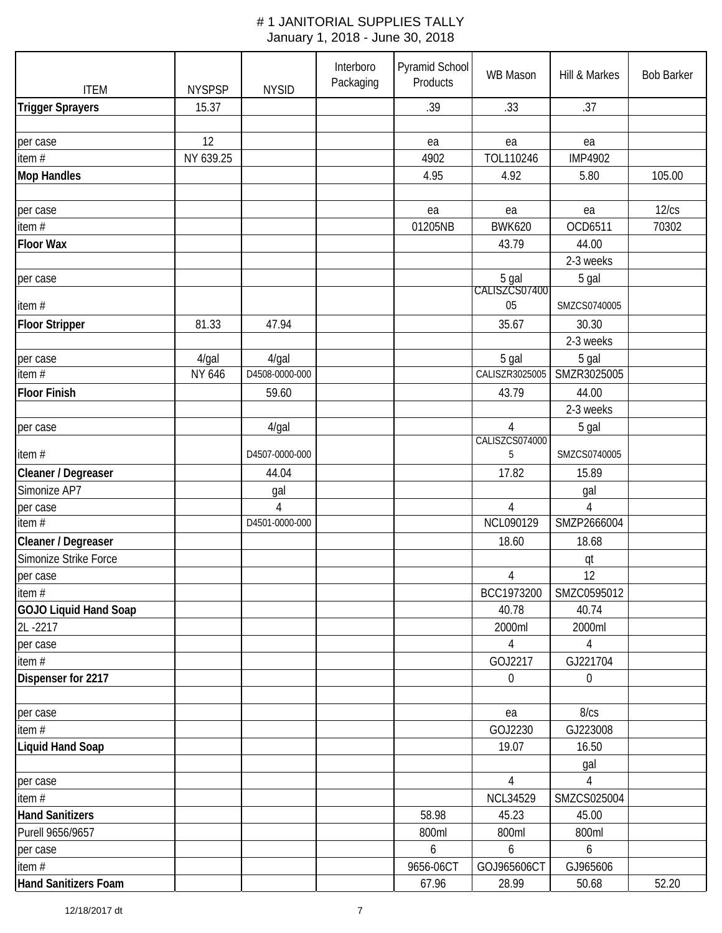| <b>ITEM</b>                 | <b>NYSPSP</b> | <b>NYSID</b>   | Interboro<br>Packaging | Pyramid School<br>Products | WB Mason               | Hill & Markes    | <b>Bob Barker</b> |
|-----------------------------|---------------|----------------|------------------------|----------------------------|------------------------|------------------|-------------------|
| <b>Trigger Sprayers</b>     | 15.37         |                |                        | .39                        | .33                    | .37              |                   |
|                             |               |                |                        |                            |                        |                  |                   |
| per case                    | 12            |                |                        | ea                         | ea                     | ea               |                   |
| item#                       | NY 639.25     |                |                        | 4902                       | TOL110246              | <b>IMP4902</b>   |                   |
| <b>Mop Handles</b>          |               |                |                        | 4.95                       | 4.92                   | 5.80             | 105.00            |
|                             |               |                |                        |                            |                        |                  |                   |
| per case                    |               |                |                        | ea                         | ea                     | ea               | 12/cs             |
| item #                      |               |                |                        | 01205NB                    | <b>BWK620</b>          | OCD6511          | 70302             |
| <b>Floor Wax</b>            |               |                |                        |                            | 43.79                  | 44.00            |                   |
|                             |               |                |                        |                            |                        | 2-3 weeks        |                   |
| per case                    |               |                |                        |                            | 5 gal<br>CALISZCS07400 | 5 gal            |                   |
|                             |               |                |                        |                            |                        |                  |                   |
| item#                       |               |                |                        |                            | 05                     | SMZCS0740005     |                   |
| <b>Floor Stripper</b>       | 81.33         | 47.94          |                        |                            | 35.67                  | 30.30            |                   |
|                             |               |                |                        |                            |                        | 2-3 weeks        |                   |
| per case                    | 4/gal         | $4$ /gal       |                        |                            | 5 gal                  | 5 gal            |                   |
| item $\overline{H}$         | NY 646        | D4508-0000-000 |                        |                            | CALISZR3025005         | SMZR3025005      |                   |
| <b>Floor Finish</b>         |               | 59.60          |                        |                            | 43.79                  | 44.00            |                   |
|                             |               |                |                        |                            |                        | 2-3 weeks        |                   |
| per case                    |               | 4/gal          |                        |                            | $\overline{4}$         | 5 gal            |                   |
| item#                       |               | D4507-0000-000 |                        |                            | CALISZCS074000<br>5    | SMZCS0740005     |                   |
| Cleaner / Degreaser         |               | 44.04          |                        |                            | 17.82                  | 15.89            |                   |
| Simonize AP7                |               | gal            |                        |                            |                        | gal              |                   |
| per case                    |               | 4              |                        |                            | 4                      | 4                |                   |
| item#                       |               | D4501-0000-000 |                        |                            | NCL090129              | SMZP2666004      |                   |
| Cleaner / Degreaser         |               |                |                        |                            | 18.60                  | 18.68            |                   |
| Simonize Strike Force       |               |                |                        |                            |                        | qt               |                   |
| per case                    |               |                |                        |                            | 4                      | 12               |                   |
| item #                      |               |                |                        |                            | BCC1973200             | SMZC0595012      |                   |
| GOJO Liquid Hand Soap       |               |                |                        |                            | 40.78                  | 40.74            |                   |
| 2L-2217                     |               |                |                        |                            | 2000ml                 | 2000ml           |                   |
| per case                    |               |                |                        |                            | $\overline{4}$         | 4                |                   |
| item#                       |               |                |                        |                            | GOJ2217                | GJ221704         |                   |
| Dispenser for 2217          |               |                |                        |                            | $\boldsymbol{0}$       | $\boldsymbol{0}$ |                   |
|                             |               |                |                        |                            |                        |                  |                   |
| per case                    |               |                |                        |                            | ea                     | 8/cs             |                   |
| item#                       |               |                |                        |                            | GOJ2230                | GJ223008         |                   |
| <b>Liquid Hand Soap</b>     |               |                |                        |                            | 19.07                  | 16.50            |                   |
|                             |               |                |                        |                            |                        | gal              |                   |
| per case                    |               |                |                        |                            | 4                      | 4                |                   |
| item #                      |               |                |                        |                            | <b>NCL34529</b>        | SMZCS025004      |                   |
| <b>Hand Sanitizers</b>      |               |                |                        | 58.98                      | 45.23                  | 45.00            |                   |
| Purell 9656/9657            |               |                |                        | 800ml                      | 800ml                  | 800ml            |                   |
| per case                    |               |                |                        | 6                          | 6                      | 6                |                   |
| item#                       |               |                |                        | 9656-06CT                  | GOJ965606CT            | GJ965606         |                   |
| <b>Hand Sanitizers Foam</b> |               |                |                        | 67.96                      | 28.99                  | 50.68            | 52.20             |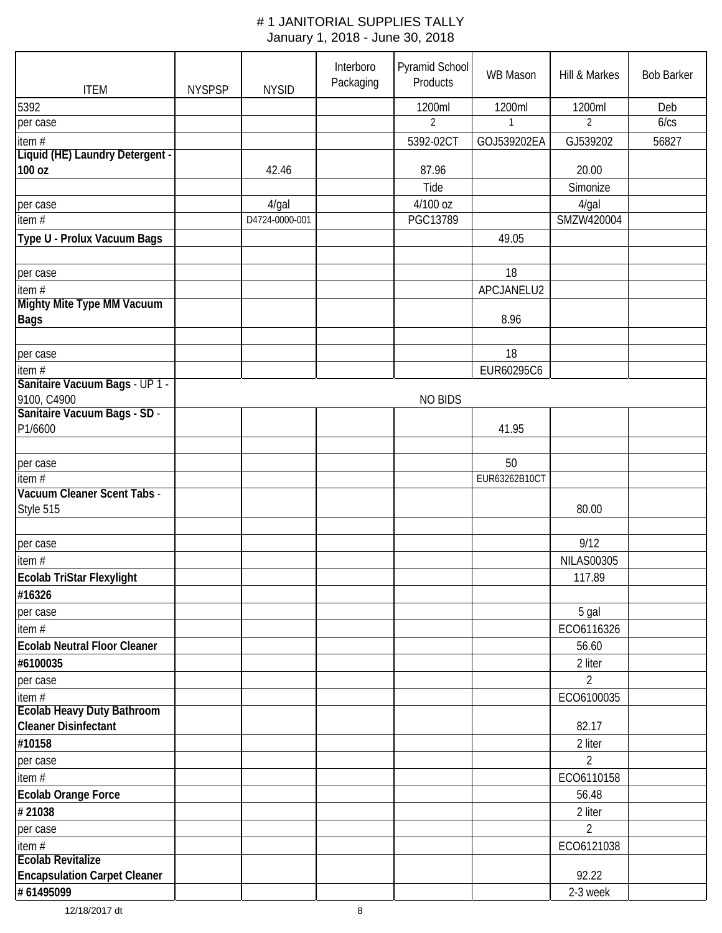| <b>ITEM</b>                                      | <b>NYSPSP</b> | <b>NYSID</b>   | Interboro<br>Packaging | Pyramid School<br>Products | <b>WB Mason</b> | Hill & Markes     | <b>Bob Barker</b> |
|--------------------------------------------------|---------------|----------------|------------------------|----------------------------|-----------------|-------------------|-------------------|
| 5392                                             |               |                |                        | 1200ml                     | 1200ml          | 1200ml            | Deb               |
| per case                                         |               |                |                        | $\overline{2}$             | $\mathbf{1}$    | $\overline{2}$    | 6/cs              |
| item#                                            |               |                |                        | 5392-02CT                  | GOJ539202EA     | GJ539202          | 56827             |
| Liquid (HE) Laundry Detergent -                  |               |                |                        |                            |                 |                   |                   |
| 100 oz                                           |               | 42.46          |                        | 87.96                      |                 | 20.00             |                   |
|                                                  |               |                |                        | Tide                       |                 | Simonize          |                   |
| per case                                         |               | 4/gal          |                        | 4/100 oz                   |                 | 4/gal             |                   |
| item $#$                                         |               | D4724-0000-001 |                        | PGC13789                   |                 | SMZW420004        |                   |
| Type U - Prolux Vacuum Bags                      |               |                |                        |                            | 49.05           |                   |                   |
| per case                                         |               |                |                        |                            | 18              |                   |                   |
| item#                                            |               |                |                        |                            | APCJANELU2      |                   |                   |
| <b>Mighty Mite Type MM Vacuum</b><br><b>Bags</b> |               |                |                        |                            | 8.96            |                   |                   |
| per case                                         |               |                |                        |                            | 18              |                   |                   |
| item $#$                                         |               |                |                        |                            | EUR60295C6      |                   |                   |
| Sanitaire Vacuum Bags - UP 1 -                   |               |                |                        |                            |                 |                   |                   |
| 9100, C4900                                      |               |                |                        | <b>NO BIDS</b>             |                 |                   |                   |
| Sanitaire Vacuum Bags - SD -                     |               |                |                        |                            |                 |                   |                   |
| P1/6600                                          |               |                |                        |                            | 41.95           |                   |                   |
| per case                                         |               |                |                        |                            | 50              |                   |                   |
| item $#$                                         |               |                |                        |                            | EUR63262B10CT   |                   |                   |
| Vacuum Cleaner Scent Tabs -<br>Style 515         |               |                |                        |                            |                 | 80.00             |                   |
|                                                  |               |                |                        |                            |                 |                   |                   |
| per case                                         |               |                |                        |                            |                 | 9/12              |                   |
| item $#$                                         |               |                |                        |                            |                 | <b>NILAS00305</b> |                   |
| Ecolab TriStar Flexylight                        |               |                |                        |                            |                 | 117.89            |                   |
| #16326                                           |               |                |                        |                            |                 |                   |                   |
| per case                                         |               |                |                        |                            |                 | 5 gal             |                   |
| item#                                            |               |                |                        |                            |                 | ECO6116326        |                   |
| <b>Ecolab Neutral Floor Cleaner</b>              |               |                |                        |                            |                 | 56.60             |                   |
| #6100035                                         |               |                |                        |                            |                 | 2 liter           |                   |
| per case                                         |               |                |                        |                            |                 | $\overline{2}$    |                   |
| item#<br><b>Ecolab Heavy Duty Bathroom</b>       |               |                |                        |                            |                 | ECO6100035        |                   |
| <b>Cleaner Disinfectant</b>                      |               |                |                        |                            |                 | 82.17             |                   |
| #10158                                           |               |                |                        |                            |                 | 2 liter           |                   |
| per case                                         |               |                |                        |                            |                 | $\overline{2}$    |                   |
| item#                                            |               |                |                        |                            |                 | ECO6110158        |                   |
| <b>Ecolab Orange Force</b>                       |               |                |                        |                            |                 | 56.48             |                   |
| #21038                                           |               |                |                        |                            |                 | 2 liter           |                   |
| per case                                         |               |                |                        |                            |                 | $\overline{2}$    |                   |
| item #<br><b>Ecolab Revitalize</b>               |               |                |                        |                            |                 | ECO6121038        |                   |
| <b>Encapsulation Carpet Cleaner</b>              |               |                |                        |                            |                 | 92.22             |                   |
| # 61495099                                       |               |                |                        |                            |                 | 2-3 week          |                   |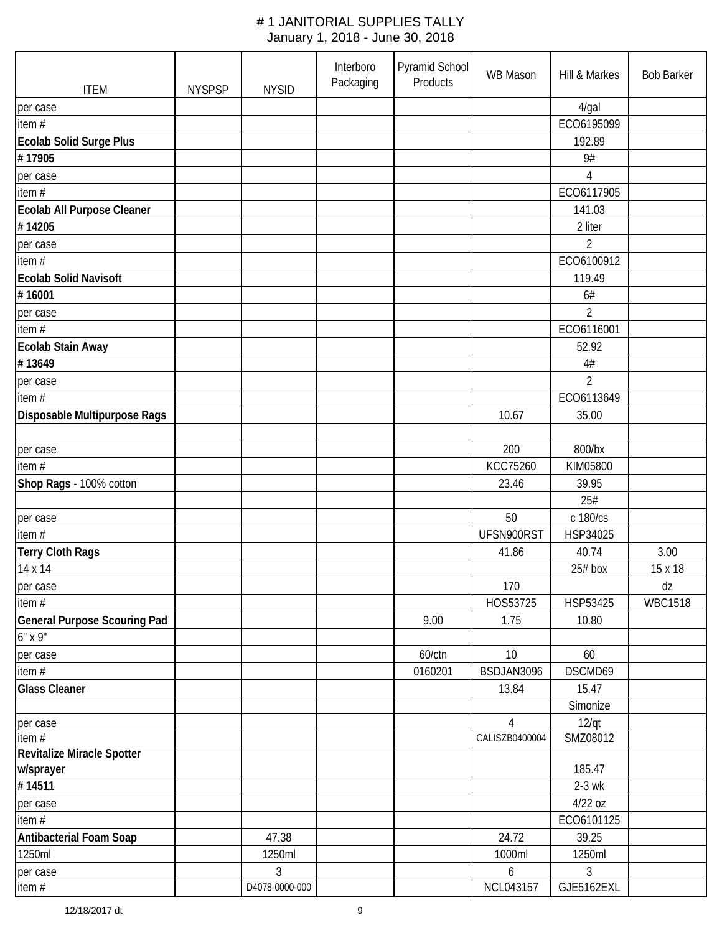| <b>ITEM</b>                              | <b>NYSPSP</b> | <b>NYSID</b>             | Interboro<br>Packaging | Pyramid School<br>Products | WB Mason                         | Hill & Markes            | <b>Bob Barker</b> |
|------------------------------------------|---------------|--------------------------|------------------------|----------------------------|----------------------------------|--------------------------|-------------------|
| per case                                 |               |                          |                        |                            |                                  | 4/gal                    |                   |
| item $#$                                 |               |                          |                        |                            |                                  | ECO6195099               |                   |
| <b>Ecolab Solid Surge Plus</b>           |               |                          |                        |                            |                                  | 192.89                   |                   |
| #17905                                   |               |                          |                        |                            |                                  | 9#                       |                   |
| per case                                 |               |                          |                        |                            |                                  | $\overline{4}$           |                   |
| item#                                    |               |                          |                        |                            |                                  | ECO6117905               |                   |
| <b>Ecolab All Purpose Cleaner</b>        |               |                          |                        |                            |                                  | 141.03                   |                   |
| #14205                                   |               |                          |                        |                            |                                  | 2 liter                  |                   |
| per case                                 |               |                          |                        |                            |                                  | $\overline{2}$           |                   |
| item#                                    |               |                          |                        |                            |                                  | ECO6100912               |                   |
| <b>Ecolab Solid Navisoft</b>             |               |                          |                        |                            |                                  | 119.49                   |                   |
| #16001                                   |               |                          |                        |                            |                                  | 6#                       |                   |
|                                          |               |                          |                        |                            |                                  | $\overline{2}$           |                   |
| per case                                 |               |                          |                        |                            |                                  |                          |                   |
| item $#$                                 |               |                          |                        |                            |                                  | ECO6116001               |                   |
| <b>Ecolab Stain Away</b>                 |               |                          |                        |                            |                                  | 52.92                    |                   |
| #13649                                   |               |                          |                        |                            |                                  | $4\#$                    |                   |
| per case                                 |               |                          |                        |                            |                                  | $\overline{2}$           |                   |
| item $#$                                 |               |                          |                        |                            |                                  | ECO6113649               |                   |
| Disposable Multipurpose Rags             |               |                          |                        |                            | 10.67                            | 35.00                    |                   |
| per case                                 |               |                          |                        |                            | 200                              | 800/bx                   |                   |
| item#                                    |               |                          |                        |                            | <b>KCC75260</b>                  | KIM05800                 |                   |
| Shop Rags - 100% cotton                  |               |                          |                        |                            | 23.46                            | 39.95                    |                   |
|                                          |               |                          |                        |                            |                                  | 25#                      |                   |
| per case                                 |               |                          |                        |                            | 50                               | c 180/cs                 |                   |
| item $#$                                 |               |                          |                        |                            | UFSN900RST                       | HSP34025                 |                   |
| <b>Terry Cloth Rags</b>                  |               |                          |                        |                            | 41.86                            | 40.74                    | 3.00              |
| 14 x 14                                  |               |                          |                        |                            |                                  | $25#$ box                | 15 x 18           |
| per case                                 |               |                          |                        |                            | 170                              |                          | dz                |
| item#                                    |               |                          |                        |                            | HOS53725                         | HSP53425                 | <b>WBC1518</b>    |
| <b>General Purpose Scouring Pad</b>      |               |                          |                        | 9.00                       | 1.75                             | 10.80                    |                   |
| $6"$ x 9"                                |               |                          |                        |                            |                                  |                          |                   |
| per case                                 |               |                          |                        | 60/ctn                     | 10                               | 60                       |                   |
| item#                                    |               |                          |                        | 0160201                    | BSDJAN3096                       | DSCMD69                  |                   |
| <b>Glass Cleaner</b>                     |               |                          |                        |                            | 13.84                            | 15.47                    |                   |
|                                          |               |                          |                        |                            |                                  | Simonize                 |                   |
|                                          |               |                          |                        |                            |                                  |                          |                   |
| per case<br>item $#$                     |               |                          |                        |                            | $\overline{4}$<br>CALISZB0400004 | $12$ /qt<br>SMZ08012     |                   |
| <b>Revitalize Miracle Spotter</b>        |               |                          |                        |                            |                                  |                          |                   |
| w/sprayer                                |               |                          |                        |                            |                                  | 185.47                   |                   |
| #14511                                   |               |                          |                        |                            |                                  | $2-3$ wk                 |                   |
| per case                                 |               |                          |                        |                            |                                  | 4/22 oz                  |                   |
| item#                                    |               |                          |                        |                            |                                  | ECO6101125               |                   |
|                                          |               | 47.38                    |                        |                            | 24.72                            | 39.25                    |                   |
| <b>Antibacterial Foam Soap</b><br>1250ml |               |                          |                        |                            |                                  |                          |                   |
|                                          |               | 1250ml<br>$\mathfrak{Z}$ |                        |                            | 1000ml                           | 1250ml<br>$\mathfrak{Z}$ |                   |
| per case<br>item#                        |               | D4078-0000-000           |                        |                            | 6<br>NCL043157                   | GJE5162EXL               |                   |
|                                          |               |                          |                        |                            |                                  |                          |                   |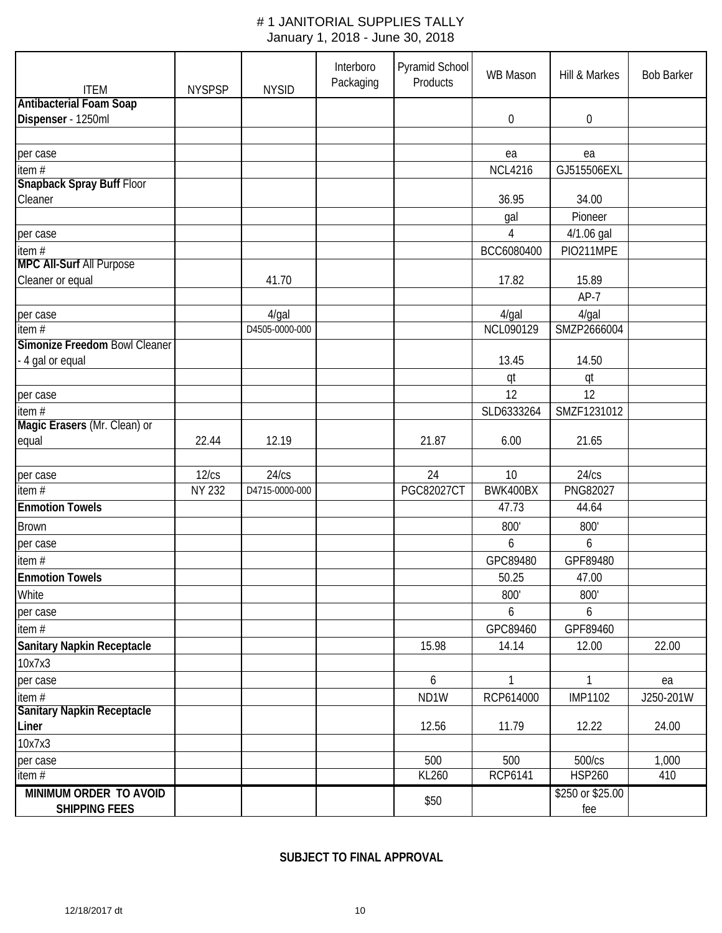| <b>ITEM</b>                       | <b>NYSPSP</b> | <b>NYSID</b>   | Interboro<br>Packaging | Pyramid School<br>Products | <b>WB Mason</b> | Hill & Markes    | <b>Bob Barker</b> |
|-----------------------------------|---------------|----------------|------------------------|----------------------------|-----------------|------------------|-------------------|
| <b>Antibacterial Foam Soap</b>    |               |                |                        |                            |                 |                  |                   |
| Dispenser - 1250ml                |               |                |                        |                            | 0               | $\boldsymbol{0}$ |                   |
|                                   |               |                |                        |                            |                 |                  |                   |
| per case                          |               |                |                        |                            | ea              | ea               |                   |
| item $#$                          |               |                |                        |                            | <b>NCL4216</b>  | GJ515506EXL      |                   |
| <b>Snapback Spray Buff Floor</b>  |               |                |                        |                            |                 |                  |                   |
| Cleaner                           |               |                |                        |                            | 36.95           | 34.00            |                   |
|                                   |               |                |                        |                            | gal             | Pioneer          |                   |
| per case                          |               |                |                        |                            | 4               | 4/1.06 gal       |                   |
| item #                            |               |                |                        |                            | BCC6080400      | PIO211MPE        |                   |
| <b>MPC All-Surf All Purpose</b>   |               |                |                        |                            |                 |                  |                   |
| Cleaner or equal                  |               | 41.70          |                        |                            | 17.82           | 15.89            |                   |
|                                   |               |                |                        |                            |                 | $AP-7$           |                   |
| per case                          |               | $4$ /gal       |                        |                            | $4$ /gal        | $4$ /gal         |                   |
| item #                            |               | D4505-0000-000 |                        |                            | NCL090129       | SMZP2666004      |                   |
| Simonize Freedom Bowl Cleaner     |               |                |                        |                            |                 |                  |                   |
| - 4 gal or equal                  |               |                |                        |                            | 13.45           | 14.50            |                   |
|                                   |               |                |                        |                            | qt              | qt               |                   |
| per case                          |               |                |                        |                            | 12              | 12               |                   |
| item $#$                          |               |                |                        |                            | SLD6333264      | SMZF1231012      |                   |
| Magic Erasers (Mr. Clean) or      |               |                |                        |                            |                 |                  |                   |
| equal                             | 22.44         | 12.19          |                        | 21.87                      | 6.00            | 21.65            |                   |
|                                   |               |                |                        |                            |                 |                  |                   |
| per case                          | 12/cs         | 24/cs          |                        | 24                         | 10              | 24/cs            |                   |
| item#                             | <b>NY 232</b> | D4715-0000-000 |                        | <b>PGC82027CT</b>          | BWK400BX        | PNG82027         |                   |
| <b>Enmotion Towels</b>            |               |                |                        |                            | 47.73           | 44.64            |                   |
| <b>Brown</b>                      |               |                |                        |                            | 800'            | 800'             |                   |
| per case                          |               |                |                        |                            | 6               | 6                |                   |
| item $#$                          |               |                |                        |                            | GPC89480        | GPF89480         |                   |
| <b>Enmotion Towels</b>            |               |                |                        |                            | 50.25           | 47.00            |                   |
| White                             |               |                |                        |                            | 800'            | 800'             |                   |
| per case                          |               |                |                        |                            | 6               | 6                |                   |
| item#                             |               |                |                        |                            | GPC89460        | GPF89460         |                   |
| <b>Sanitary Napkin Receptacle</b> |               |                |                        | 15.98                      | 14.14           | 12.00            | 22.00             |
| 10x7x3                            |               |                |                        |                            |                 |                  |                   |
| per case                          |               |                |                        | 6                          | $\mathbf{1}$    | $\mathbf{1}$     | ea                |
| item#                             |               |                |                        | ND <sub>1</sub> W          | RCP614000       | <b>IMP1102</b>   | J250-201W         |
| <b>Sanitary Napkin Receptacle</b> |               |                |                        |                            |                 |                  |                   |
| Liner                             |               |                |                        | 12.56                      | 11.79           | 12.22            | 24.00             |
| 10x7x3                            |               |                |                        |                            |                 |                  |                   |
| per case                          |               |                |                        | 500                        | 500             | 500/cs           | 1,000             |
| item#                             |               |                |                        | KL260                      | <b>RCP6141</b>  | <b>HSP260</b>    | 410               |
| MINIMUM ORDER TO AVOID            |               |                |                        |                            |                 | \$250 or \$25.00 |                   |
| <b>SHIPPING FEES</b>              |               |                |                        | \$50                       |                 | fee              |                   |

**SUBJECT TO FINAL APPROVAL**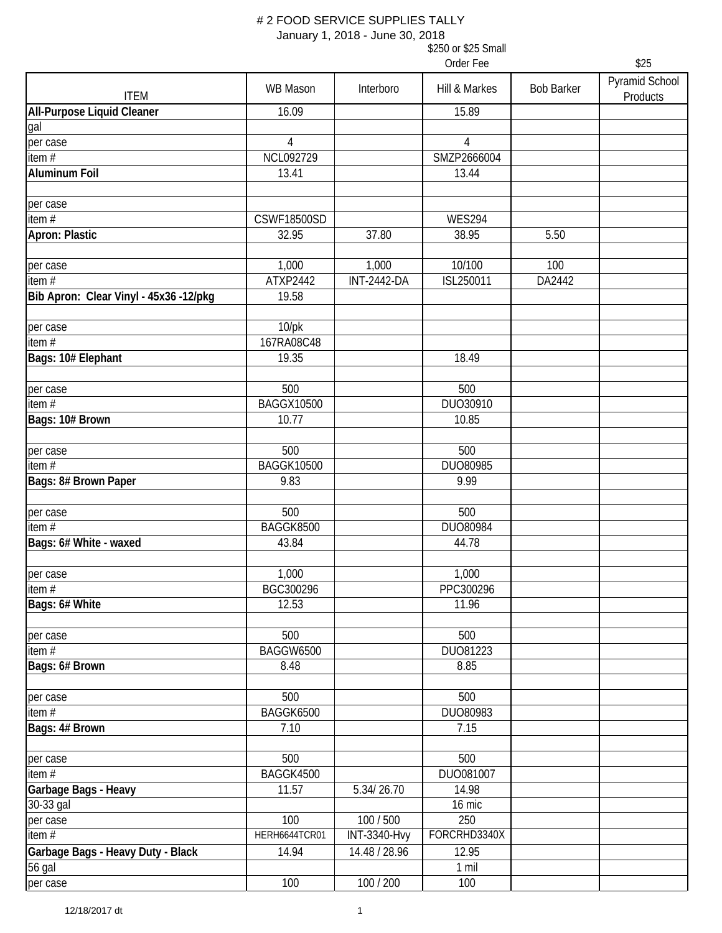January 1, 2018 - June 30, 2018

|                                        |                          |                     | Order Fee           |                   | \$25                       |
|----------------------------------------|--------------------------|---------------------|---------------------|-------------------|----------------------------|
| <b>ITEM</b>                            | <b>WB Mason</b>          | Interboro           | Hill & Markes       | <b>Bob Barker</b> | Pyramid School<br>Products |
| <b>All-Purpose Liquid Cleaner</b>      | 16.09                    |                     | 15.89               |                   |                            |
| gal                                    |                          |                     |                     |                   |                            |
| per case                               | 4                        |                     | $\overline{4}$      |                   |                            |
| item#                                  | NCL092729                |                     | SMZP2666004         |                   |                            |
| <b>Aluminum Foil</b>                   | 13.41                    |                     | 13.44               |                   |                            |
|                                        |                          |                     |                     |                   |                            |
| per case                               |                          |                     |                     |                   |                            |
| item $#$                               | <b>CSWF18500SD</b>       |                     | <b>WES294</b>       |                   |                            |
| Apron: Plastic                         | 32.95                    | 37.80               | 38.95               | 5.50              |                            |
|                                        |                          |                     |                     |                   |                            |
| per case                               | 1,000                    | 1,000               | $\frac{1}{10}$ /100 | 100               |                            |
| item#                                  | ATXP2442                 | <b>INT-2442-DA</b>  | ISL250011           | DA2442            |                            |
| Bib Apron: Clear Vinyl - 45x36 -12/pkg | 19.58                    |                     |                     |                   |                            |
|                                        |                          |                     |                     |                   |                            |
| per case                               | $10$ /pk                 |                     |                     |                   |                            |
| item #                                 | 167RA08C48               |                     |                     |                   |                            |
| Bags: 10# Elephant                     | 19.35                    |                     | 18.49               |                   |                            |
|                                        |                          |                     |                     |                   |                            |
| per case                               | 500<br><b>BAGGX10500</b> |                     | 500<br>DUO30910     |                   |                            |
| item #                                 | 10.77                    |                     | 10.85               |                   |                            |
| Bags: 10# Brown                        |                          |                     |                     |                   |                            |
| per case                               | 500                      |                     | 500                 |                   |                            |
| item#                                  | <b>BAGGK10500</b>        |                     | DUO80985            |                   |                            |
| Bags: 8# Brown Paper                   | 9.83                     |                     | 9.99                |                   |                            |
|                                        |                          |                     |                     |                   |                            |
| per case                               | 500                      |                     | 500                 |                   |                            |
| item $#$                               | BAGGK8500                |                     | DUO80984            |                   |                            |
| Bags: 6# White - waxed                 | 43.84                    |                     | 44.78               |                   |                            |
|                                        |                          |                     |                     |                   |                            |
| per case                               | 1,000                    |                     | 1,000               |                   |                            |
| item#                                  | BGC300296                |                     | PPC300296           |                   |                            |
| Bags: 6# White                         | 12.53                    |                     | 11.96               |                   |                            |
|                                        |                          |                     |                     |                   |                            |
| per case                               | 500                      |                     | 500                 |                   |                            |
| item $#$                               | <b>BAGGW6500</b>         |                     | DUO81223            |                   |                            |
| Bags: 6# Brown                         | 8.48                     |                     | 8.85                |                   |                            |
|                                        |                          |                     |                     |                   |                            |
| per case                               | 500                      |                     | 500                 |                   |                            |
| item#                                  | BAGGK6500                |                     | DUO80983            |                   |                            |
| Bags: 4# Brown                         | 7.10                     |                     | 7.15                |                   |                            |
|                                        |                          |                     |                     |                   |                            |
| per case                               | 500                      |                     | 500                 |                   |                            |
| item $#$                               | BAGGK4500                |                     | DUO081007           |                   |                            |
| Garbage Bags - Heavy                   | 11.57                    | 5.34/26.70          | 14.98               |                   |                            |
| 30-33 gal                              |                          |                     | 16 mic              |                   |                            |
| per case                               | 100<br>HERH6644TCR01     | 100 / 500           | 250                 |                   |                            |
| item $#$                               |                          | <b>INT-3340-Hvy</b> | FORCRHD3340X        |                   |                            |
| Garbage Bags - Heavy Duty - Black      | 14.94                    | 14.48 / 28.96       | 12.95               |                   |                            |
| 56 gal                                 |                          |                     | 1 mil               |                   |                            |
| per case                               | 100                      | 100 / 200           | 100                 |                   |                            |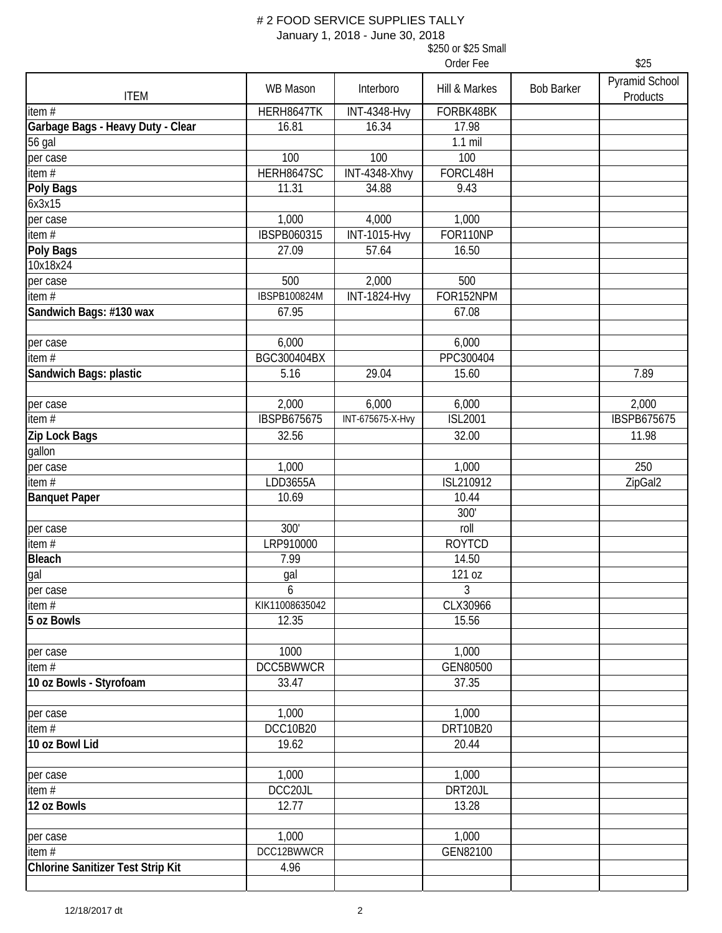January 1, 2018 - June 30, 2018

|                                          |                    |                         | Order Fee      |                   | \$25                       |
|------------------------------------------|--------------------|-------------------------|----------------|-------------------|----------------------------|
| <b>ITEM</b>                              | WB Mason           | Interboro               | Hill & Markes  | <b>Bob Barker</b> | Pyramid School<br>Products |
| item $#$                                 | HERH8647TK         | <b>INT-4348-Hvy</b>     | FORBK48BK      |                   |                            |
| Garbage Bags - Heavy Duty - Clear        | 16.81              | 16.34                   | 17.98          |                   |                            |
| 56 gal                                   |                    |                         | $1.1$ mil      |                   |                            |
| per case                                 | 100                | 100                     | 100            |                   |                            |
| item#                                    | HERH8647SC         | INT-4348-Xhvy           | FORCL48H       |                   |                            |
| <b>Poly Bags</b>                         | 11.31              | 34.88                   | 9.43           |                   |                            |
| 6x3x15                                   |                    |                         |                |                   |                            |
| per case                                 | 1,000              | 4,000                   | 1,000          |                   |                            |
| item $\overline{H}$                      | <b>IBSPB060315</b> | <b>INT-1015-Hvy</b>     | FOR110NP       |                   |                            |
| Poly Bags                                | 27.09              | 57.64                   | 16.50          |                   |                            |
| 10x18x24                                 |                    |                         |                |                   |                            |
| per case                                 | 500                | 2,000                   | 500            |                   |                            |
| item $#$                                 | IBSPB100824M       | <b>INT-1824-Hvy</b>     | FOR152NPM      |                   |                            |
| Sandwich Bags: #130 wax                  | 67.95              |                         | 67.08          |                   |                            |
| per case                                 | 6,000              |                         | 6,000          |                   |                            |
| item $#$                                 | BGC300404BX        |                         | PPC300404      |                   |                            |
| Sandwich Bags: plastic                   | 5.16               | 29.04                   | 15.60          |                   | 7.89                       |
|                                          |                    |                         |                |                   |                            |
| per case                                 | 2,000              | 6,000                   | 6,000          |                   | 2,000                      |
| item $#$                                 | <b>IBSPB675675</b> | <b>INT-675675-X-Hvy</b> | <b>ISL2001</b> |                   | <b>IBSPB675675</b>         |
| Zip Lock Bags                            | 32.56              |                         | 32.00          |                   | 11.98                      |
| gallon                                   |                    |                         |                |                   |                            |
| per case                                 | 1,000              |                         | 1,000          |                   | 250                        |
| item#                                    | LDD3655A           |                         | ISL210912      |                   | ZipGal2                    |
| <b>Banquet Paper</b>                     | 10.69              |                         | 10.44          |                   |                            |
|                                          |                    |                         | 300'           |                   |                            |
| per case                                 | 300'               |                         | roll           |                   |                            |
| item#                                    | LRP910000          |                         | <b>ROYTCD</b>  |                   |                            |
| Bleach                                   | 7.99               |                         | 14.50          |                   |                            |
| gal                                      | gal                |                         | 121 oz         |                   |                            |
| per case                                 | 6                  |                         | 3              |                   |                            |
| item#                                    | KIK11008635042     |                         | CLX30966       |                   |                            |
| 5 oz Bowls                               | 12.35              |                         | 15.56          |                   |                            |
| per case                                 | 1000               |                         | 1,000          |                   |                            |
| item#                                    | DCC5BWWCR          |                         | GEN80500       |                   |                            |
| 10 oz Bowls - Styrofoam                  | 33.47              |                         | 37.35          |                   |                            |
|                                          |                    |                         |                |                   |                            |
| per case                                 | 1,000              |                         | 1,000          |                   |                            |
| item#                                    | DCC10B20           |                         | DRT10B20       |                   |                            |
| 10 oz Bowl Lid                           | 19.62              |                         | 20.44          |                   |                            |
|                                          |                    |                         |                |                   |                            |
| per case                                 | 1,000              |                         | 1,000          |                   |                            |
| item $#$                                 | DCC20JL            |                         | DRT20JL        |                   |                            |
| 12 oz Bowls                              | 12.77              |                         | 13.28          |                   |                            |
| per case                                 | 1,000              |                         | 1,000          |                   |                            |
| item#                                    | DCC12BWWCR         |                         | GEN82100       |                   |                            |
| <b>Chlorine Sanitizer Test Strip Kit</b> | 4.96               |                         |                |                   |                            |
|                                          |                    |                         |                |                   |                            |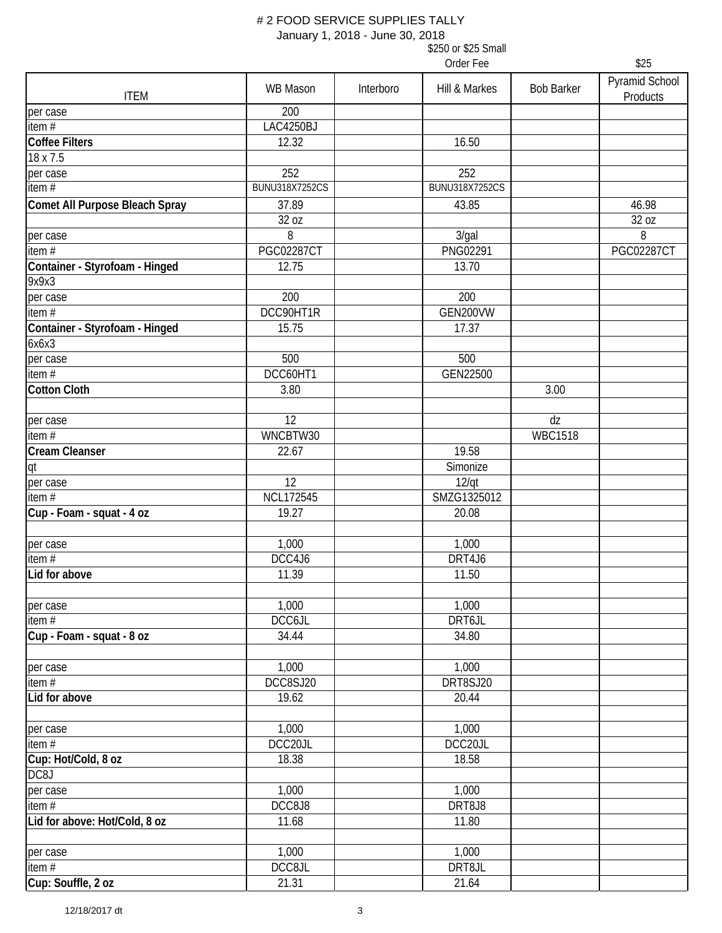January 1, 2018 - June 30, 2018

|                                         | January 1, 2010 - June JU, 2010<br>\$250 or \$25 Small |           |                       |                      |                            |  |
|-----------------------------------------|--------------------------------------------------------|-----------|-----------------------|----------------------|----------------------------|--|
|                                         | Order Fee                                              |           |                       |                      | \$25                       |  |
| <b>ITEM</b>                             | <b>WB Mason</b>                                        | Interboro | Hill & Markes         | <b>Bob Barker</b>    | Pyramid School<br>Products |  |
| per case                                | 200                                                    |           |                       |                      |                            |  |
| item#                                   | LAC4250BJ                                              |           |                       |                      |                            |  |
| <b>Coffee Filters</b>                   | 12.32                                                  |           | 16.50                 |                      |                            |  |
| 18 x 7.5                                |                                                        |           |                       |                      |                            |  |
| per case                                | 252                                                    |           | 252                   |                      |                            |  |
| item $#$                                | <b>BUNU318X7252CS</b>                                  |           | <b>BUNU318X7252CS</b> |                      |                            |  |
| Comet All Purpose Bleach Spray          | 37.89                                                  |           | 43.85                 |                      | 46.98                      |  |
|                                         | 32 oz                                                  |           |                       |                      | 32 oz                      |  |
| per case                                | 8                                                      |           | $3$ /gal              |                      | 8                          |  |
| item $#$                                | <b>PGC02287CT</b>                                      |           | PNG02291              |                      | <b>PGC02287CT</b>          |  |
| Container - Styrofoam - Hinged<br>9x9x3 | 12.75                                                  |           | 13.70                 |                      |                            |  |
| per case                                | 200                                                    |           | 200                   |                      |                            |  |
| item#                                   | DCC90HT1R                                              |           | GEN200VW              |                      |                            |  |
| Container - Styrofoam - Hinged<br>6x6x3 | 15.75                                                  |           | 17.37                 |                      |                            |  |
| per case                                | 500                                                    |           | 500                   |                      |                            |  |
| item#                                   | DCC60HT1                                               |           | GEN22500              |                      |                            |  |
| <b>Cotton Cloth</b>                     | 3.80                                                   |           |                       | 3.00                 |                            |  |
|                                         | 12                                                     |           |                       |                      |                            |  |
| per case<br>item $#$                    | WNCBTW30                                               |           |                       | dz<br><b>WBC1518</b> |                            |  |
|                                         |                                                        |           |                       |                      |                            |  |
| Cream Cleanser                          | 22.67                                                  |           | 19.58                 |                      |                            |  |
| qt                                      |                                                        |           | Simonize              |                      |                            |  |
| per case                                | 12                                                     |           | 12/qt                 |                      |                            |  |
| item#                                   | <b>NCL172545</b>                                       |           | SMZG1325012           |                      |                            |  |
| Cup - Foam - squat - 4 oz               | 19.27                                                  |           | 20.08                 |                      |                            |  |
| per case                                | 1,000                                                  |           | 1,000                 |                      |                            |  |
| item#                                   | DCC4J6                                                 |           | DRT4J6                |                      |                            |  |
| Lid for above                           | 11.39                                                  |           | 11.50                 |                      |                            |  |
| per case                                | 1,000                                                  |           | 1,000                 |                      |                            |  |
| item#                                   | DCC6JL                                                 |           | DRT6JL                |                      |                            |  |
| Cup - Foam - squat - 8 oz               | 34.44                                                  |           | 34.80                 |                      |                            |  |
| per case                                | 1,000                                                  |           | 1,000                 |                      |                            |  |
| item#                                   | DCC8SJ20                                               |           | DRT8SJ20              |                      |                            |  |
| Lid for above                           | 19.62                                                  |           | 20.44                 |                      |                            |  |
| per case                                | 1,000                                                  |           | 1,000                 |                      |                            |  |
| item#                                   | DCC20JL                                                |           | DCC20JL               |                      |                            |  |
| Cup: Hot/Cold, 8 oz                     | 18.38                                                  |           | 18.58                 |                      |                            |  |
| DC8J                                    |                                                        |           |                       |                      |                            |  |
| per case                                | 1,000                                                  |           | 1,000                 |                      |                            |  |
| item#                                   | DCC8J8                                                 |           | DRT8J8                |                      |                            |  |
|                                         |                                                        |           |                       |                      |                            |  |

**Lid for above: Hot/Cold, 8 oz** 11.68 11.80

per case 1,000 **1,000** 1,000 1,000 item # DCC8JL DRT8JL **Cup: Souffle, 2 oz 21.31 21.31 21.64**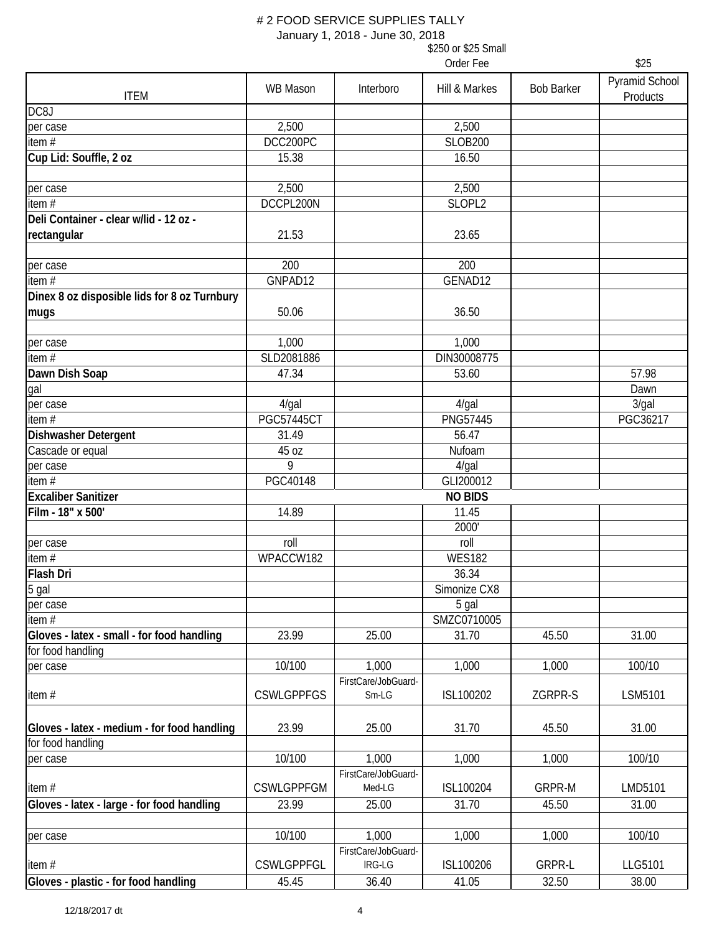January 1, 2018 - June 30, 2018

|                                                                  |                   |                                | Order Fee      |                   | \$25                       |
|------------------------------------------------------------------|-------------------|--------------------------------|----------------|-------------------|----------------------------|
| <b>ITEM</b>                                                      | <b>WB Mason</b>   | Interboro                      | Hill & Markes  | <b>Bob Barker</b> | Pyramid School<br>Products |
| DC8J                                                             |                   |                                |                |                   |                            |
| per case                                                         | 2,500             |                                | 2,500          |                   |                            |
| item $#$                                                         | DCC200PC          |                                | <b>SLOB200</b> |                   |                            |
| Cup Lid: Souffle, 2 oz                                           | 15.38             |                                | 16.50          |                   |                            |
| per case                                                         | 2,500             |                                | 2,500          |                   |                            |
| item $#$                                                         | DCCPL200N         |                                | SLOPL2         |                   |                            |
| Deli Container - clear w/lid - 12 oz -                           |                   |                                |                |                   |                            |
| rectangular                                                      | 21.53             |                                | 23.65          |                   |                            |
| per case                                                         | 200               |                                | 200            |                   |                            |
| item#                                                            | GNPAD12           |                                | GENAD12        |                   |                            |
| Dinex 8 oz disposible lids for 8 oz Turnbury                     |                   |                                |                |                   |                            |
| mugs                                                             | 50.06             |                                | 36.50          |                   |                            |
| per case                                                         | 1,000             |                                | 1,000          |                   |                            |
| item $#$                                                         | SLD2081886        |                                | DIN30008775    |                   |                            |
| Dawn Dish Soap                                                   | 47.34             |                                | 53.60          |                   | 57.98                      |
| gal                                                              |                   |                                |                |                   | Dawn                       |
| per case                                                         | $4$ /gal          |                                | $4$ /gal       |                   | 3/gal                      |
| item#                                                            | <b>PGC57445CT</b> |                                | PNG57445       |                   | PGC36217                   |
| Dishwasher Detergent                                             | 31.49             |                                | 56.47          |                   |                            |
| Cascade or equal                                                 | 45 oz             |                                | Nufoam         |                   |                            |
| per case                                                         | 9                 |                                | $4$ /gal       |                   |                            |
| item $#$                                                         | PGC40148          |                                | GLI200012      |                   |                            |
| <b>Excaliber Sanitizer</b>                                       |                   |                                | <b>NO BIDS</b> |                   |                            |
| Film - 18" x 500'                                                | 14.89             |                                | 11.45          |                   |                            |
|                                                                  |                   |                                | 2000'          |                   |                            |
| per case                                                         | roll              |                                | roll           |                   |                            |
| item#                                                            | WPACCW182         |                                | <b>WES182</b>  |                   |                            |
| Flash Dri                                                        |                   |                                | 36.34          |                   |                            |
| 5 gal                                                            |                   |                                | Simonize CX8   |                   |                            |
| per case                                                         |                   |                                | 5 gal          |                   |                            |
| item#                                                            |                   |                                | SMZC0710005    |                   |                            |
| Gloves - latex - small - for food handling<br>for food handling  | 23.99             | 25.00                          | 31.70          | 45.50             | 31.00                      |
| per case                                                         | 10/100            | 1,000                          | 1,000          | 1,000             | 100/10                     |
| item#                                                            | <b>CSWLGPPFGS</b> | FirstCare/JobGuard-<br>$Sm-LG$ | ISL100202      | ZGRPR-S           | LSM5101                    |
| Gloves - latex - medium - for food handling<br>for food handling | 23.99             | 25.00                          | 31.70          | 45.50             | 31.00                      |
| per case                                                         | 10/100            | 1,000<br>FirstCare/JobGuard-   | 1,000          | 1,000             | 100/10                     |
| item#                                                            | <b>CSWLGPPFGM</b> | Med-LG                         | ISL100204      | GRPR-M            | LMD5101                    |
| Gloves - latex - large - for food handling                       | 23.99             | 25.00                          | 31.70          | 45.50             | 31.00                      |
|                                                                  |                   |                                |                |                   |                            |
| per case                                                         | 10/100            | 1,000                          | 1,000          | 1,000             | 100/10                     |
| item#                                                            | CSWLGPPFGL        | FirstCare/JobGuard-<br>IRG-LG  | ISL100206      | <b>GRPR-L</b>     | LLG5101                    |
| Gloves - plastic - for food handling                             | 45.45             | 36.40                          | 41.05          | 32.50             | 38.00                      |
|                                                                  |                   |                                |                |                   |                            |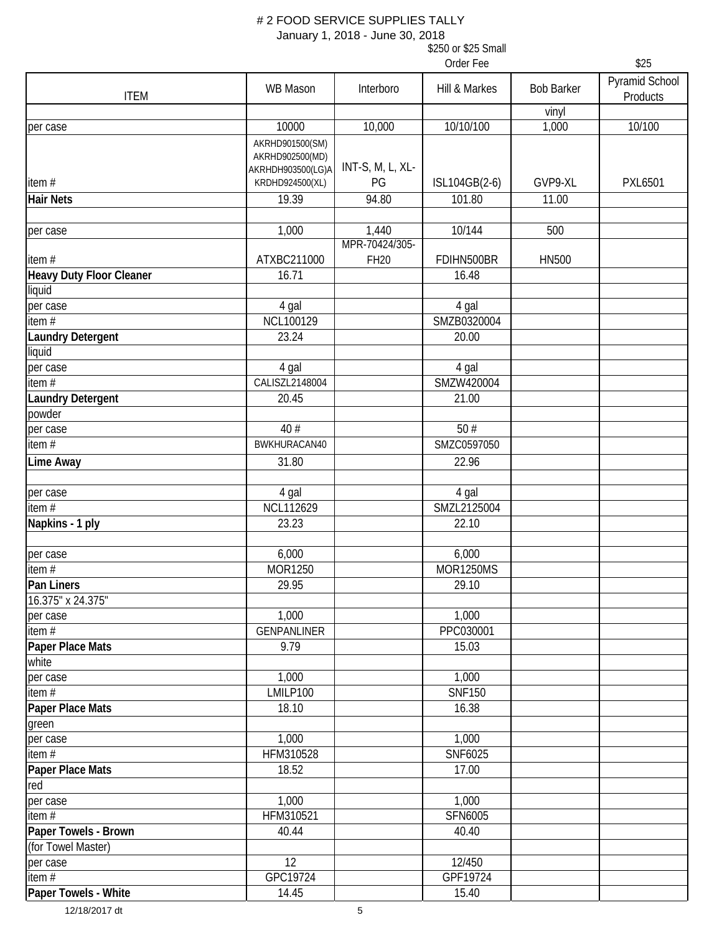January 1, 2018 - June 30, 2018

|                                 |                    |                  | Order Fee        |                   | \$25                       |
|---------------------------------|--------------------|------------------|------------------|-------------------|----------------------------|
| <b>ITEM</b>                     | <b>WB Mason</b>    | Interboro        | Hill & Markes    | <b>Bob Barker</b> | Pyramid School<br>Products |
|                                 |                    |                  |                  | vinyl             |                            |
| per case                        | 10000              | 10,000           | 10/10/100        | 1,000             | 10/100                     |
|                                 | AKRHD901500(SM)    |                  |                  |                   |                            |
|                                 | AKRHD902500(MD)    |                  |                  |                   |                            |
|                                 | AKRHDH903500(LG)A  | INT-S, M, L, XL- |                  |                   |                            |
| item $#$                        | KRDHD924500(XL)    | PG               | ISL104GB(2-6)    | GVP9-XL           | <b>PXL6501</b>             |
| <b>Hair Nets</b>                | 19.39              | 94.80            | 101.80           | 11.00             |                            |
|                                 |                    |                  |                  |                   |                            |
| per case                        | 1,000              | 1,440            | 10/144           | 500               |                            |
|                                 |                    | MPR-70424/305-   |                  |                   |                            |
| item#                           | ATXBC211000        | <b>FH20</b>      | FDIHN500BR       | <b>HN500</b>      |                            |
| <b>Heavy Duty Floor Cleaner</b> | 16.71              |                  | 16.48            |                   |                            |
| liquid                          |                    |                  |                  |                   |                            |
| per case                        | 4 gal              |                  | 4 gal            |                   |                            |
| item $\overline{H}$             | NCL100129          |                  | SMZB0320004      |                   |                            |
| <b>Laundry Detergent</b>        | 23.24              |                  | 20.00            |                   |                            |
| liquid                          |                    |                  |                  |                   |                            |
| per case                        | 4 gal              |                  | 4 gal            |                   |                            |
| item $#$                        | CALISZL2148004     |                  | SMZW420004       |                   |                            |
| <b>Laundry Detergent</b>        | 20.45              |                  | 21.00            |                   |                            |
| powder                          |                    |                  |                  |                   |                            |
| per case                        | 40 #               |                  | 50#              |                   |                            |
| item $#$                        | BWKHURACAN40       |                  | SMZC0597050      |                   |                            |
| <b>Lime Away</b>                | 31.80              |                  | 22.96            |                   |                            |
| per case                        | 4 gal              |                  | 4 gal            |                   |                            |
| item $#$                        | <b>NCL112629</b>   |                  | SMZL2125004      |                   |                            |
| Napkins - 1 ply                 | 23.23              |                  | 22.10            |                   |                            |
| per case                        | 6,000              |                  | 6,000            |                   |                            |
| item #                          | MOR1250            |                  | <b>MOR1250MS</b> |                   |                            |
| Pan Liners                      | 29.95              |                  | 29.10            |                   |                            |
| 16.375" x 24.375"               |                    |                  |                  |                   |                            |
| per case                        | 1,000              |                  | 1,000            |                   |                            |
| item $#$                        | <b>GENPANLINER</b> |                  | PPC030001        |                   |                            |
| Paper Place Mats                | 9.79               |                  | 15.03            |                   |                            |
| white                           |                    |                  |                  |                   |                            |
| per case                        | 1,000              |                  | 1,000            |                   |                            |
| item $#$                        | LMILP100           |                  | <b>SNF150</b>    |                   |                            |
| Paper Place Mats                | 18.10              |                  | 16.38            |                   |                            |
| green                           |                    |                  |                  |                   |                            |
| per case                        | 1,000              |                  | 1,000            |                   |                            |
| item#                           | HFM310528          |                  | SNF6025          |                   |                            |
| Paper Place Mats                | 18.52              |                  | 17.00            |                   |                            |
| red                             |                    |                  |                  |                   |                            |
| per case                        | 1,000              |                  | 1,000            |                   |                            |
| item $#$                        | HFM310521          |                  | SFN6005          |                   |                            |
| Paper Towels - Brown            | 40.44              |                  | 40.40            |                   |                            |
| (for Towel Master)              |                    |                  |                  |                   |                            |
| per case                        | 12                 |                  | 12/450           |                   |                            |
| item $#$                        | GPC19724           |                  | GPF19724         |                   |                            |
| Paper Towels - White            | 14.45              |                  | 15.40            |                   |                            |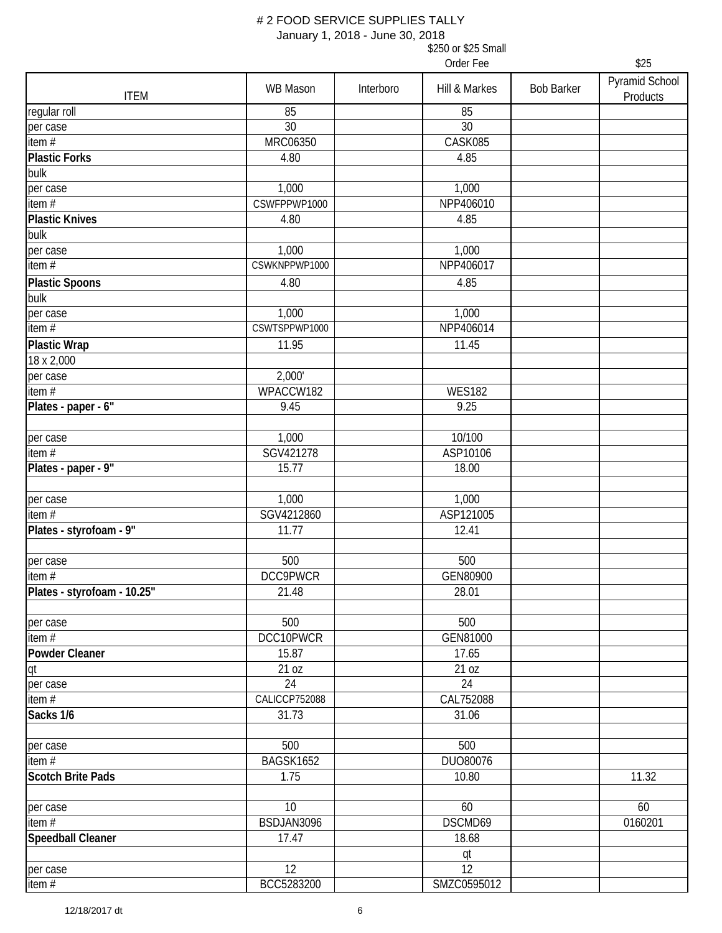January 1, 2018 - June 30, 2018

|                             |                 |           | Order Fee     |                   | \$25                       |
|-----------------------------|-----------------|-----------|---------------|-------------------|----------------------------|
| <b>ITEM</b>                 | WB Mason        | Interboro | Hill & Markes | <b>Bob Barker</b> | Pyramid School<br>Products |
| regular roll                | 85              |           | 85            |                   |                            |
| per case                    | 30              |           | 30            |                   |                            |
| item#                       | MRC06350        |           | CASK085       |                   |                            |
| <b>Plastic Forks</b>        | 4.80            |           | 4.85          |                   |                            |
| bulk                        |                 |           |               |                   |                            |
| per case                    | 1,000           |           | 1,000         |                   |                            |
| item#                       | CSWFPPWP1000    |           | NPP406010     |                   |                            |
| <b>Plastic Knives</b>       | 4.80            |           | 4.85          |                   |                            |
| bulk                        |                 |           |               |                   |                            |
| per case                    | 1,000           |           | 1,000         |                   |                            |
| item#                       | CSWKNPPWP1000   |           | NPP406017     |                   |                            |
| <b>Plastic Spoons</b>       | 4.80            |           | 4.85          |                   |                            |
| bulk                        |                 |           |               |                   |                            |
| per case                    | 1,000           |           | 1,000         |                   |                            |
| item $#$                    | CSWTSPPWP1000   |           | NPP406014     |                   |                            |
| <b>Plastic Wrap</b>         | 11.95           |           | 11.45         |                   |                            |
| 18 x 2,000                  |                 |           |               |                   |                            |
| per case                    | 2,000'          |           |               |                   |                            |
| item $#$                    | WPACCW182       |           | <b>WES182</b> |                   |                            |
| Plates - paper - 6"         | 9.45            |           | 9.25          |                   |                            |
| per case                    | 1,000           |           | 10/100        |                   |                            |
| item#                       | SGV421278       |           | ASP10106      |                   |                            |
| Plates - paper - 9"         | 15.77           |           | 18.00         |                   |                            |
| per case                    | 1,000           |           | 1,000         |                   |                            |
| item#                       | SGV4212860      |           | ASP121005     |                   |                            |
| Plates - styrofoam - 9"     | 11.77           |           | 12.41         |                   |                            |
|                             |                 |           |               |                   |                            |
| per case                    | 500             |           | 500           |                   |                            |
| item $#$                    | <b>DCC9PWCR</b> |           | GEN80900      |                   |                            |
| Plates - styrofoam - 10.25" | 21.48           |           | 28.01         |                   |                            |
| per case                    | 500             |           | 500           |                   |                            |
| item #                      | DCC10PWCR       |           | GEN81000      |                   |                            |
| Powder Cleaner              | 15.87           |           | 17.65         |                   |                            |
| qt                          | 21 oz           |           | 21 oz         |                   |                            |
| per case                    | 24              |           | 24            |                   |                            |
| item#                       | CALICCP752088   |           | CAL752088     |                   |                            |
| Sacks 1/6                   | 31.73           |           | 31.06         |                   |                            |
| per case                    | 500             |           | 500           |                   |                            |
| item #                      | BAGSK1652       |           | DUO80076      |                   |                            |
| <b>Scotch Brite Pads</b>    | 1.75            |           | 10.80         |                   | 11.32                      |
| per case                    | 10              |           | 60            |                   | 60                         |
| item #                      | BSDJAN3096      |           | DSCMD69       |                   | 0160201                    |
| Speedball Cleaner           | 17.47           |           | 18.68         |                   |                            |
|                             |                 |           | qt            |                   |                            |
| per case                    | 12              |           | 12            |                   |                            |
| item #                      | BCC5283200      |           | SMZC0595012   |                   |                            |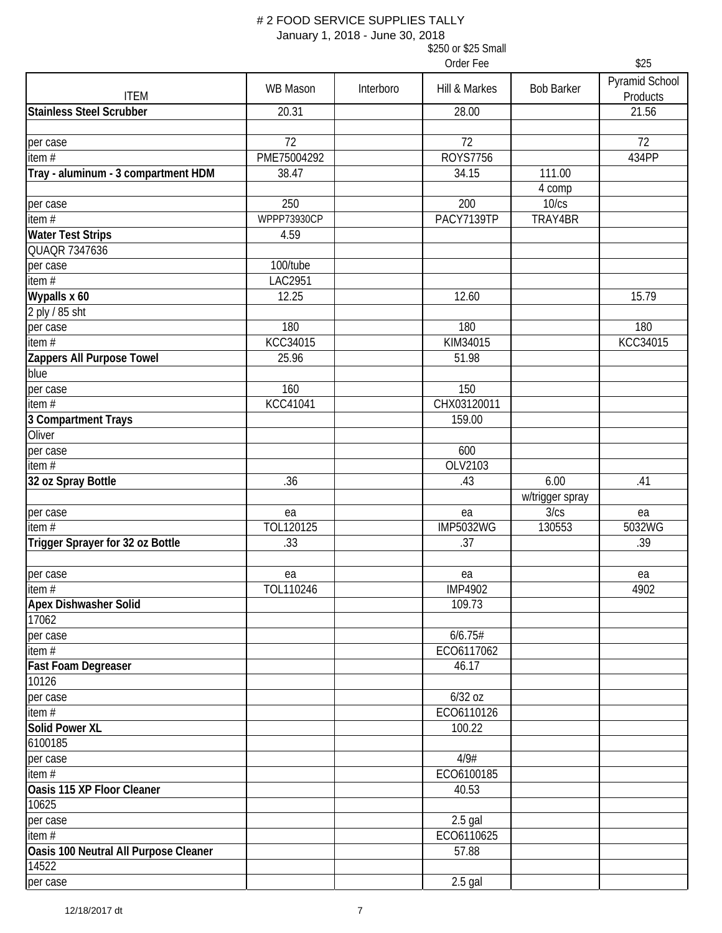January 1, 2018 - June 30, 2018

|                                       |                    |           | Order Fee        |                   | \$25                       |
|---------------------------------------|--------------------|-----------|------------------|-------------------|----------------------------|
| <b>ITEM</b>                           | <b>WB Mason</b>    | Interboro | Hill & Markes    | <b>Bob Barker</b> | Pyramid School<br>Products |
| <b>Stainless Steel Scrubber</b>       | 20.31              |           | 28.00            |                   | 21.56                      |
| per case                              | 72                 |           | 72               |                   | 72                         |
| item $#$                              | PME75004292        |           | <b>ROYS7756</b>  |                   | 434PP                      |
| Tray - aluminum - 3 compartment HDM   | 38.47              |           | 34.15            | 111.00<br>4 comp  |                            |
| per case                              | 250                |           | 200              | 10/cs             |                            |
| item $#$                              | <b>WPPP73930CP</b> |           | PACY7139TP       | TRAY4BR           |                            |
| <b>Water Test Strips</b>              | 4.59               |           |                  |                   |                            |
| <b>QUAQR 7347636</b>                  |                    |           |                  |                   |                            |
| per case                              | 100/tube           |           |                  |                   |                            |
| item $#$                              | LAC2951            |           |                  |                   |                            |
| Wypalls x 60                          | 12.25              |           | 12.60            |                   | 15.79                      |
| 2 ply / 85 sht                        |                    |           |                  |                   |                            |
| per case                              | 180                |           | 180              |                   | 180                        |
| item $\overline{H}$                   | KCC34015           |           | KIM34015         |                   | KCC34015                   |
| Zappers All Purpose Towel             | 25.96              |           | 51.98            |                   |                            |
| blue                                  |                    |           |                  |                   |                            |
| per case                              | 160                |           | 150              |                   |                            |
| item $#$                              | KCC41041           |           | CHX03120011      |                   |                            |
| 3 Compartment Trays                   |                    |           | 159.00           |                   |                            |
| Oliver                                |                    |           |                  |                   |                            |
| per case                              |                    |           | 600              |                   |                            |
| item $#$                              |                    |           | OLV2103          |                   |                            |
| 32 oz Spray Bottle                    | .36                |           | .43              | 6.00              | .41                        |
|                                       |                    |           |                  | w/trigger spray   |                            |
| per case                              | ea                 |           | ea               | 3/cs              | ea                         |
| item#                                 | TOL120125          |           | <b>IMP5032WG</b> | 130553            | 5032WG                     |
| Trigger Sprayer for 32 oz Bottle      | .33                |           | .37              |                   | .39                        |
|                                       |                    |           |                  |                   |                            |
| per case                              | ea                 |           | ea               |                   | ea                         |
| item#                                 | TOL110246          |           | <b>IMP4902</b>   |                   | 4902                       |
| <b>Apex Dishwasher Solid</b>          |                    |           | 109.73           |                   |                            |
| 17062                                 |                    |           |                  |                   |                            |
| per case                              |                    |           | 6/6.75#          |                   |                            |
| item $#$                              |                    |           | ECO6117062       |                   |                            |
| Fast Foam Degreaser                   |                    |           | 46.17            |                   |                            |
| 10126                                 |                    |           |                  |                   |                            |
| per case                              |                    |           | 6/32 oz          |                   |                            |
| item#                                 |                    |           | ECO6110126       |                   |                            |
| <b>Solid Power XL</b>                 |                    |           | 100.22           |                   |                            |
| 6100185                               |                    |           |                  |                   |                            |
|                                       |                    |           | 4/9#             |                   |                            |
| per case<br>item $#$                  |                    |           | ECO6100185       |                   |                            |
|                                       |                    |           |                  |                   |                            |
| Oasis 115 XP Floor Cleaner            |                    |           | 40.53            |                   |                            |
| 10625                                 |                    |           |                  |                   |                            |
| per case                              |                    |           | $2.5$ gal        |                   |                            |
| item#                                 |                    |           | ECO6110625       |                   |                            |
| Oasis 100 Neutral All Purpose Cleaner |                    |           | 57.88            |                   |                            |
| 14522                                 |                    |           |                  |                   |                            |
| per case                              |                    |           | $2.5$ gal        |                   |                            |